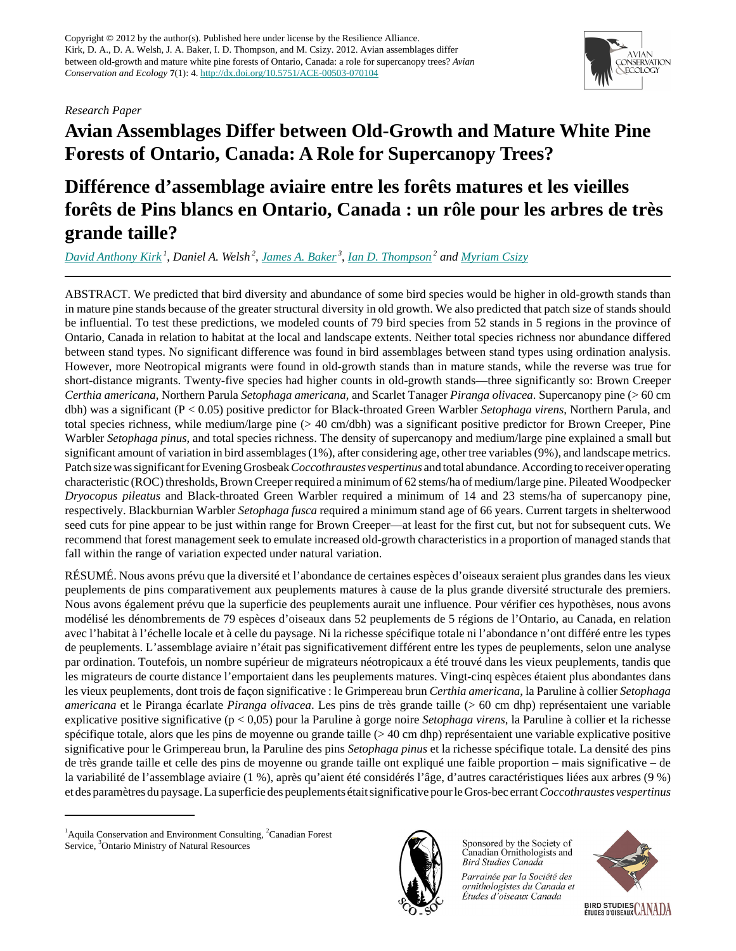# *Research Paper*



# **Avian Assemblages Differ between Old-Growth and Mature White Pine Forests of Ontario, Canada: A Role for Supercanopy Trees?**

# **Différence d'assemblage aviaire entre les forêts matures et les vieilles forêts de Pins blancs en Ontario, Canada : un rôle pour les arbres de très grande taille?**

*[David Anthony Kirk](mailto:david@aquilaecology.com)<sup>1</sup>* , *Daniel A. Welsh<sup>2</sup>* , *[James A. Baker](mailto:jim.baker@ontario.ca)<sup>3</sup>* , *[Ian D. Thompson](mailto:Ian.Thompson@NRCAN-RNCAN.gc.ca)<sup>2</sup> and [Myriam Csizy](mailto:Myriam@magma.ca)*

ABSTRACT. We predicted that bird diversity and abundance of some bird species would be higher in old-growth stands than in mature pine stands because of the greater structural diversity in old growth. We also predicted that patch size of stands should be influential. To test these predictions, we modeled counts of 79 bird species from 52 stands in 5 regions in the province of Ontario, Canada in relation to habitat at the local and landscape extents. Neither total species richness nor abundance differed between stand types. No significant difference was found in bird assemblages between stand types using ordination analysis. However, more Neotropical migrants were found in old-growth stands than in mature stands, while the reverse was true for short-distance migrants. Twenty-five species had higher counts in old-growth stands—three significantly so: Brown Creeper *Certhia americana*, Northern Parula *Setophaga americana*, and Scarlet Tanager *Piranga olivacea*. Supercanopy pine (> 60 cm dbh) was a significant (P < 0.05) positive predictor for Black-throated Green Warbler *Setophaga virens*, Northern Parula, and total species richness, while medium/large pine (> 40 cm/dbh) was a significant positive predictor for Brown Creeper, Pine Warbler *Setophaga pinus*, and total species richness. The density of supercanopy and medium/large pine explained a small but significant amount of variation in bird assemblages (1%), after considering age, other tree variables (9%), and landscape metrics. Patch size was significant for Evening Grosbeak *Coccothraustes vespertinus* and total abundance. According to receiver operating characteristic (ROC) thresholds, Brown Creeper required a minimum of 62 stems/ha of medium/large pine. Pileated Woodpecker *Dryocopus pileatus* and Black-throated Green Warbler required a minimum of 14 and 23 stems/ha of supercanopy pine, respectively. Blackburnian Warbler *Setophaga fusca* required a minimum stand age of 66 years. Current targets in shelterwood seed cuts for pine appear to be just within range for Brown Creeper—at least for the first cut, but not for subsequent cuts. We recommend that forest management seek to emulate increased old-growth characteristics in a proportion of managed stands that fall within the range of variation expected under natural variation.

RÉSUMÉ. Nous avons prévu que la diversité et l'abondance de certaines espèces d'oiseaux seraient plus grandes dans les vieux peuplements de pins comparativement aux peuplements matures à cause de la plus grande diversité structurale des premiers. Nous avons également prévu que la superficie des peuplements aurait une influence. Pour vérifier ces hypothèses, nous avons modélisé les dénombrements de 79 espèces d'oiseaux dans 52 peuplements de 5 régions de l'Ontario, au Canada, en relation avec l'habitat à l'échelle locale et à celle du paysage. Ni la richesse spécifique totale ni l'abondance n'ont différé entre les types de peuplements. L'assemblage aviaire n'était pas significativement différent entre les types de peuplements, selon une analyse par ordination. Toutefois, un nombre supérieur de migrateurs néotropicaux a été trouvé dans les vieux peuplements, tandis que les migrateurs de courte distance l'emportaient dans les peuplements matures. Vingt-cinq espèces étaient plus abondantes dans les vieux peuplements, dont trois de façon significative : le Grimpereau brun *Certhia americana*, la Paruline à collier *Setophaga americana* et le Piranga écarlate *Piranga olivacea*. Les pins de très grande taille (> 60 cm dhp) représentaient une variable explicative positive significative (p < 0,05) pour la Paruline à gorge noire *Setophaga virens*, la Paruline à collier et la richesse spécifique totale, alors que les pins de moyenne ou grande taille (> 40 cm dhp) représentaient une variable explicative positive significative pour le Grimpereau brun, la Paruline des pins *Setophaga pinus* et la richesse spécifique totale. La densité des pins de très grande taille et celle des pins de moyenne ou grande taille ont expliqué une faible proportion – mais significative – de la variabilité de l'assemblage aviaire (1 %), après qu'aient été considérés l'âge, d'autres caractéristiques liées aux arbres (9 %) et des paramètres du paysage. La superficie des peuplements était significative pour le Gros-bec errant *Coccothraustes vespertinus*



Sponsored by the Society of Canadian Ornithologists and **Bird Studies Canada** 

Parrainée par la Société des ornithologistes du Canada et Études d'oiseaux Canada



<sup>&</sup>lt;sup>1</sup> Aquila Conservation and Environment Consulting,  ${}^{2}$ Canadian Forest Service, <sup>3</sup>Ontario Ministry of Natural Resources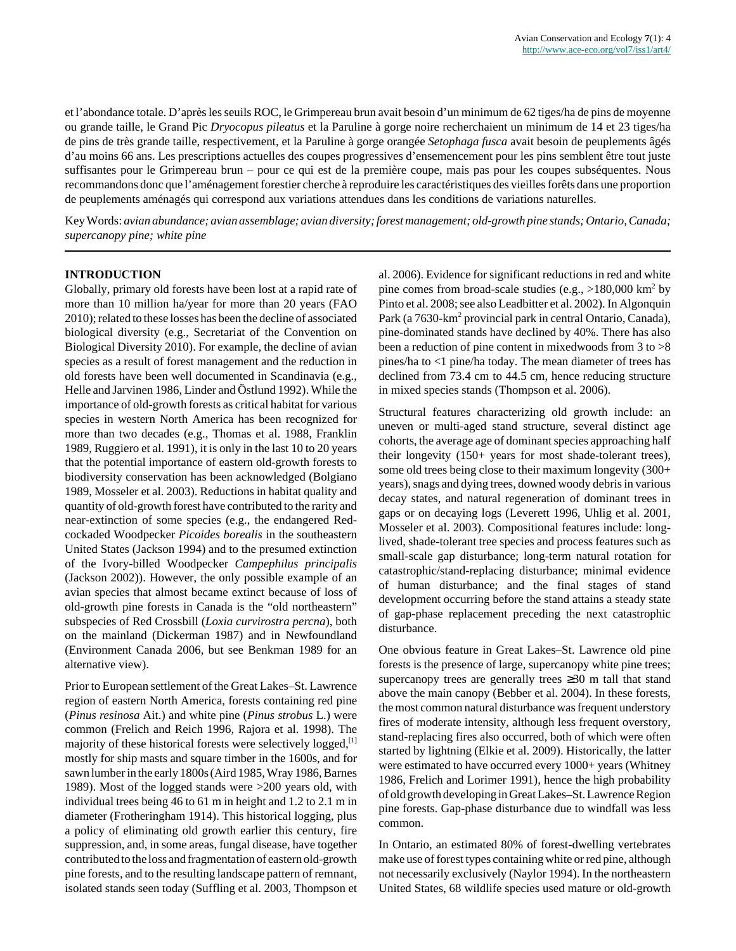et l'abondance totale. D'après les seuils ROC, le Grimpereau brun avait besoin d'un minimum de 62 tiges/ha de pins de moyenne ou grande taille, le Grand Pic *Dryocopus pileatus* et la Paruline à gorge noire recherchaient un minimum de 14 et 23 tiges/ha de pins de très grande taille, respectivement, et la Paruline à gorge orangée *Setophaga fusca* avait besoin de peuplements âgés d'au moins 66 ans. Les prescriptions actuelles des coupes progressives d'ensemencement pour les pins semblent être tout juste suffisantes pour le Grimpereau brun – pour ce qui est de la première coupe, mais pas pour les coupes subséquentes. Nous recommandons donc que l'aménagement forestier cherche à reproduire les caractéristiques des vieilles forêts dans une proportion de peuplements aménagés qui correspond aux variations attendues dans les conditions de variations naturelles.

Key Words: *avian abundance; avian assemblage; avian diversity; forest management; old-growth pine stands; Ontario, Canada; supercanopy pine; white pine*

## **INTRODUCTION**

Globally, primary old forests have been lost at a rapid rate of more than 10 million ha/year for more than 20 years (FAO 2010); related to these losses has been the decline of associated biological diversity (e.g., Secretariat of the Convention on Biological Diversity 2010). For example, the decline of avian species as a result of forest management and the reduction in old forests have been well documented in Scandinavia (e.g., Helle and Jarvinen 1986, Linder and Östlund 1992). While the importance of old-growth forests as critical habitat for various species in western North America has been recognized for more than two decades (e.g., Thomas et al. 1988, Franklin 1989, Ruggiero et al. 1991), it is only in the last 10 to 20 years that the potential importance of eastern old-growth forests to biodiversity conservation has been acknowledged (Bolgiano 1989, Mosseler et al. 2003). Reductions in habitat quality and quantity of old-growth forest have contributed to the rarity and near-extinction of some species (e.g., the endangered Redcockaded Woodpecker *Picoides borealis* in the southeastern United States (Jackson 1994) and to the presumed extinction of the Ivory-billed Woodpecker *Campephilus principalis* (Jackson 2002)). However, the only possible example of an avian species that almost became extinct because of loss of old-growth pine forests in Canada is the "old northeastern" subspecies of Red Crossbill (*Loxia curvirostra percna*), both on the mainland (Dickerman 1987) and in Newfoundland (Environment Canada 2006, but see Benkman 1989 for an alternative view).

Prior to European settlement of the Great Lakes–St. Lawrence region of eastern North America, forests containing red pine (*Pinus resinosa* Ait.) and white pine (*Pinus strobus* L.) were common (Frelich and Reich 1996, Rajora et al. 1998). The majority of these historical forests were selectively logged,<sup>[1]</sup> mostly for ship masts and square timber in the 1600s, and for sawn lumber in the early 1800s (Aird 1985, Wray 1986, Barnes 1989). Most of the logged stands were >200 years old, with individual trees being 46 to 61 m in height and 1.2 to 2.1 m in diameter (Frotheringham 1914). This historical logging, plus a policy of eliminating old growth earlier this century, fire suppression, and, in some areas, fungal disease, have together contributed to the loss and fragmentation of eastern old-growth pine forests, and to the resulting landscape pattern of remnant, isolated stands seen today (Suffling et al. 2003, Thompson et al. 2006). Evidence for significant reductions in red and white pine comes from broad-scale studies (e.g.,  $>180,000$  km<sup>2</sup> by Pinto et al. 2008; see also Leadbitter et al. 2002). In Algonquin Park (a 7630-km<sup>2</sup> provincial park in central Ontario, Canada), pine-dominated stands have declined by 40%. There has also been a reduction of pine content in mixedwoods from 3 to >8 pines/ha to <1 pine/ha today. The mean diameter of trees has declined from 73.4 cm to 44.5 cm, hence reducing structure in mixed species stands (Thompson et al. 2006).

Structural features characterizing old growth include: an uneven or multi-aged stand structure, several distinct age cohorts, the average age of dominant species approaching half their longevity (150+ years for most shade-tolerant trees), some old trees being close to their maximum longevity (300+ years), snags and dying trees, downed woody debris in various decay states, and natural regeneration of dominant trees in gaps or on decaying logs (Leverett 1996, Uhlig et al. 2001, Mosseler et al. 2003). Compositional features include: longlived, shade-tolerant tree species and process features such as small-scale gap disturbance; long-term natural rotation for catastrophic/stand-replacing disturbance; minimal evidence of human disturbance; and the final stages of stand development occurring before the stand attains a steady state of gap-phase replacement preceding the next catastrophic disturbance.

One obvious feature in Great Lakes–St. Lawrence old pine forests is the presence of large, supercanopy white pine trees; supercanopy trees are generally trees ≥30 m tall that stand above the main canopy (Bebber et al. 2004). In these forests, the most common natural disturbance was frequent understory fires of moderate intensity, although less frequent overstory, stand-replacing fires also occurred, both of which were often started by lightning (Elkie et al. 2009). Historically, the latter were estimated to have occurred every 1000+ years (Whitney 1986, Frelich and Lorimer 1991), hence the high probability of old growth developing in Great Lakes–St. Lawrence Region pine forests. Gap-phase disturbance due to windfall was less common.

In Ontario, an estimated 80% of forest-dwelling vertebrates make use of forest types containing white or red pine, although not necessarily exclusively (Naylor 1994). In the northeastern United States, 68 wildlife species used mature or old-growth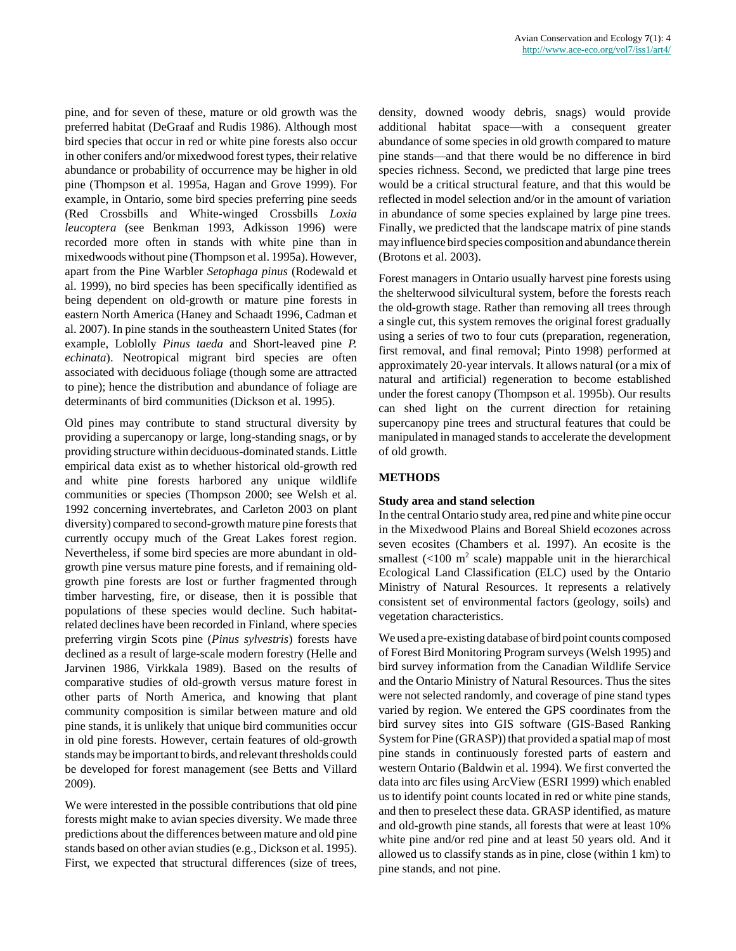pine, and for seven of these, mature or old growth was the preferred habitat (DeGraaf and Rudis 1986). Although most bird species that occur in red or white pine forests also occur in other conifers and/or mixedwood forest types, their relative abundance or probability of occurrence may be higher in old pine (Thompson et al. 1995a, Hagan and Grove 1999). For example, in Ontario, some bird species preferring pine seeds (Red Crossbills and White-winged Crossbills *Loxia leucoptera* (see Benkman 1993, Adkisson 1996) were recorded more often in stands with white pine than in mixedwoods without pine (Thompson et al. 1995a). However, apart from the Pine Warbler *Setophaga pinus* (Rodewald et al. 1999), no bird species has been specifically identified as being dependent on old-growth or mature pine forests in eastern North America (Haney and Schaadt 1996, Cadman et al. 2007). In pine stands in the southeastern United States (for example, Loblolly *Pinus taeda* and Short-leaved pine *P. echinata*). Neotropical migrant bird species are often associated with deciduous foliage (though some are attracted to pine); hence the distribution and abundance of foliage are determinants of bird communities (Dickson et al. 1995).

Old pines may contribute to stand structural diversity by providing a supercanopy or large, long-standing snags, or by providing structure within deciduous-dominated stands. Little empirical data exist as to whether historical old-growth red and white pine forests harbored any unique wildlife communities or species (Thompson 2000; see Welsh et al. 1992 concerning invertebrates, and Carleton 2003 on plant diversity) compared to second-growth mature pine forests that currently occupy much of the Great Lakes forest region. Nevertheless, if some bird species are more abundant in oldgrowth pine versus mature pine forests, and if remaining oldgrowth pine forests are lost or further fragmented through timber harvesting, fire, or disease, then it is possible that populations of these species would decline. Such habitatrelated declines have been recorded in Finland, where species preferring virgin Scots pine (*Pinus sylvestris*) forests have declined as a result of large-scale modern forestry (Helle and Jarvinen 1986, Virkkala 1989). Based on the results of comparative studies of old-growth versus mature forest in other parts of North America, and knowing that plant community composition is similar between mature and old pine stands, it is unlikely that unique bird communities occur in old pine forests. However, certain features of old-growth stands may be important to birds, and relevant thresholds could be developed for forest management (see Betts and Villard 2009).

We were interested in the possible contributions that old pine forests might make to avian species diversity. We made three predictions about the differences between mature and old pine stands based on other avian studies (e.g., Dickson et al. 1995). First, we expected that structural differences (size of trees, density, downed woody debris, snags) would provide additional habitat space—with a consequent greater abundance of some species in old growth compared to mature pine stands—and that there would be no difference in bird species richness. Second, we predicted that large pine trees would be a critical structural feature, and that this would be reflected in model selection and/or in the amount of variation in abundance of some species explained by large pine trees. Finally, we predicted that the landscape matrix of pine stands may influence bird species composition and abundance therein (Brotons et al. 2003).

Forest managers in Ontario usually harvest pine forests using the shelterwood silvicultural system, before the forests reach the old-growth stage. Rather than removing all trees through a single cut, this system removes the original forest gradually using a series of two to four cuts (preparation, regeneration, first removal, and final removal; Pinto 1998) performed at approximately 20-year intervals. It allows natural (or a mix of natural and artificial) regeneration to become established under the forest canopy (Thompson et al. 1995b). Our results can shed light on the current direction for retaining supercanopy pine trees and structural features that could be manipulated in managed stands to accelerate the development of old growth.

## **METHODS**

#### **Study area and stand selection**

In the central Ontario study area, red pine and white pine occur in the Mixedwood Plains and Boreal Shield ecozones across seven ecosites (Chambers et al. 1997). An ecosite is the smallest  $\left($ <100 m<sup>2</sup> scale) mappable unit in the hierarchical Ecological Land Classification (ELC) used by the Ontario Ministry of Natural Resources. It represents a relatively consistent set of environmental factors (geology, soils) and vegetation characteristics.

We used a pre-existing database of bird point counts composed of Forest Bird Monitoring Program surveys (Welsh 1995) and bird survey information from the Canadian Wildlife Service and the Ontario Ministry of Natural Resources. Thus the sites were not selected randomly, and coverage of pine stand types varied by region. We entered the GPS coordinates from the bird survey sites into GIS software (GIS-Based Ranking System for Pine (GRASP)) that provided a spatial map of most pine stands in continuously forested parts of eastern and western Ontario (Baldwin et al. 1994). We first converted the data into arc files using ArcView (ESRI 1999) which enabled us to identify point counts located in red or white pine stands, and then to preselect these data. GRASP identified, as mature and old-growth pine stands, all forests that were at least 10% white pine and/or red pine and at least 50 years old. And it allowed us to classify stands as in pine, close (within 1 km) to pine stands, and not pine.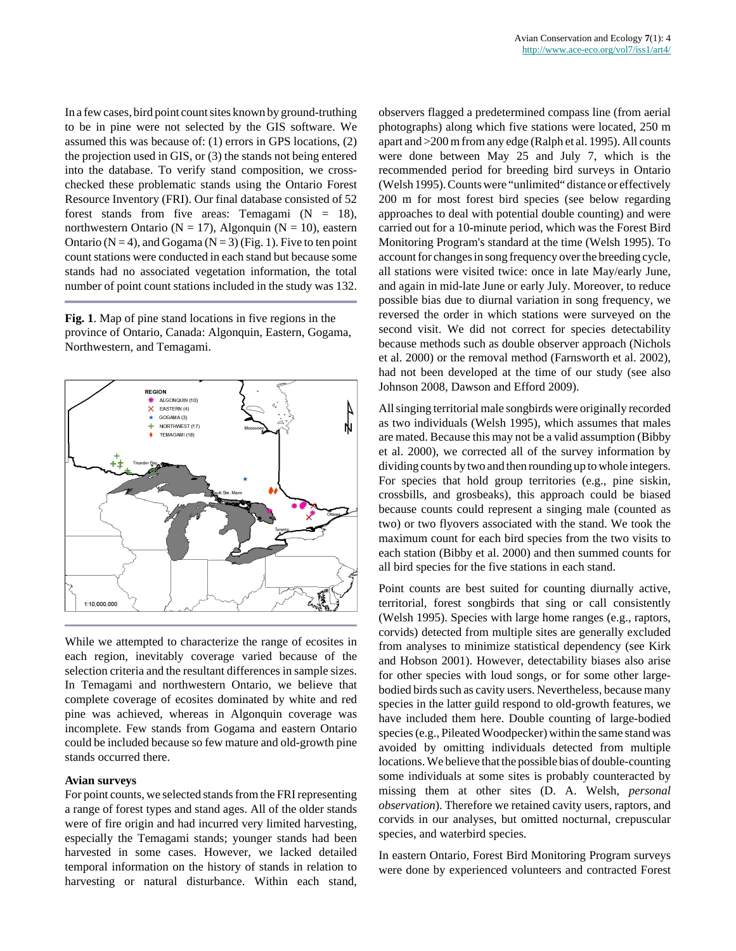In a few cases, bird point count sites known by ground-truthing to be in pine were not selected by the GIS software. We assumed this was because of: (1) errors in GPS locations, (2) the projection used in GIS, or (3) the stands not being entered into the database. To verify stand composition, we crosschecked these problematic stands using the Ontario Forest Resource Inventory (FRI). Our final database consisted of 52 forest stands from five areas: Temagami  $(N = 18)$ , northwestern Ontario ( $N = 17$ ), Algonquin ( $N = 10$ ), eastern Ontario ( $N = 4$ ), and Gogama ( $N = 3$ ) (Fig. 1). Five to ten point count stations were conducted in each stand but because some stands had no associated vegetation information, the total number of point count stations included in the study was 132.

**Fig. 1**. Map of pine stand locations in five regions in the province of Ontario, Canada: Algonquin, Eastern, Gogama, Northwestern, and Temagami.



While we attempted to characterize the range of ecosites in each region, inevitably coverage varied because of the selection criteria and the resultant differences in sample sizes. In Temagami and northwestern Ontario, we believe that complete coverage of ecosites dominated by white and red pine was achieved, whereas in Algonquin coverage was incomplete. Few stands from Gogama and eastern Ontario could be included because so few mature and old-growth pine stands occurred there.

#### **Avian surveys**

For point counts, we selected stands from the FRI representing a range of forest types and stand ages. All of the older stands were of fire origin and had incurred very limited harvesting, especially the Temagami stands; younger stands had been harvested in some cases. However, we lacked detailed temporal information on the history of stands in relation to harvesting or natural disturbance. Within each stand, observers flagged a predetermined compass line (from aerial photographs) along which five stations were located, 250 m apart and >200 m from any edge (Ralph et al. 1995). All counts were done between May 25 and July 7, which is the recommended period for breeding bird surveys in Ontario (Welsh 1995). Counts were "unlimited" distance or effectively 200 m for most forest bird species (see below regarding approaches to deal with potential double counting) and were carried out for a 10-minute period, which was the Forest Bird Monitoring Program's standard at the time (Welsh 1995). To account for changes in song frequency over the breeding cycle, all stations were visited twice: once in late May/early June, and again in mid-late June or early July. Moreover, to reduce possible bias due to diurnal variation in song frequency, we reversed the order in which stations were surveyed on the second visit. We did not correct for species detectability because methods such as double observer approach (Nichols et al. 2000) or the removal method (Farnsworth et al. 2002), had not been developed at the time of our study (see also Johnson 2008, Dawson and Efford 2009).

All singing territorial male songbirds were originally recorded as two individuals (Welsh 1995), which assumes that males are mated. Because this may not be a valid assumption (Bibby et al. 2000), we corrected all of the survey information by dividing counts by two and then rounding up to whole integers. For species that hold group territories (e.g., pine siskin, crossbills, and grosbeaks), this approach could be biased because counts could represent a singing male (counted as two) or two flyovers associated with the stand. We took the maximum count for each bird species from the two visits to each station (Bibby et al. 2000) and then summed counts for all bird species for the five stations in each stand.

Point counts are best suited for counting diurnally active, territorial, forest songbirds that sing or call consistently (Welsh 1995). Species with large home ranges (e.g., raptors, corvids) detected from multiple sites are generally excluded from analyses to minimize statistical dependency (see Kirk and Hobson 2001). However, detectability biases also arise for other species with loud songs, or for some other largebodied birds such as cavity users. Nevertheless, because many species in the latter guild respond to old-growth features, we have included them here. Double counting of large-bodied species (e.g., Pileated Woodpecker) within the same stand was avoided by omitting individuals detected from multiple locations. We believe that the possible bias of double-counting some individuals at some sites is probably counteracted by missing them at other sites (D. A. Welsh, *personal observation*). Therefore we retained cavity users, raptors, and corvids in our analyses, but omitted nocturnal, crepuscular species, and waterbird species.

In eastern Ontario, Forest Bird Monitoring Program surveys were done by experienced volunteers and contracted Forest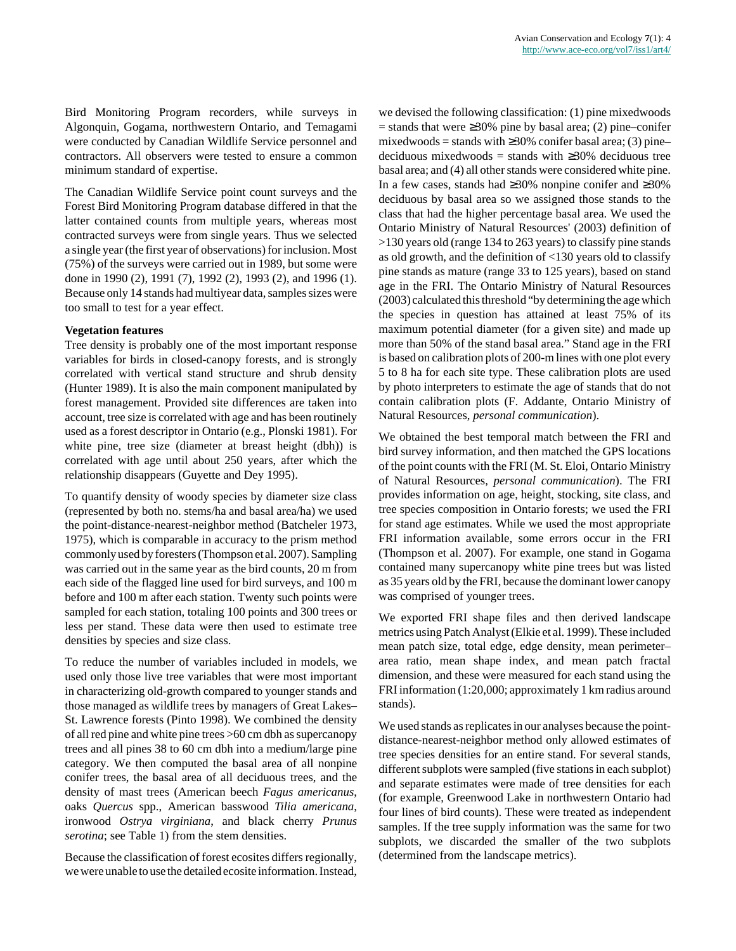Bird Monitoring Program recorders, while surveys in Algonquin, Gogama, northwestern Ontario, and Temagami were conducted by Canadian Wildlife Service personnel and contractors. All observers were tested to ensure a common minimum standard of expertise.

The Canadian Wildlife Service point count surveys and the Forest Bird Monitoring Program database differed in that the latter contained counts from multiple years, whereas most contracted surveys were from single years. Thus we selected a single year (the first year of observations) for inclusion. Most (75%) of the surveys were carried out in 1989, but some were done in 1990 (2), 1991 (7), 1992 (2), 1993 (2), and 1996 (1). Because only 14 stands had multiyear data, samples sizes were too small to test for a year effect.

## **Vegetation features**

Tree density is probably one of the most important response variables for birds in closed-canopy forests, and is strongly correlated with vertical stand structure and shrub density (Hunter 1989). It is also the main component manipulated by forest management. Provided site differences are taken into account, tree size is correlated with age and has been routinely used as a forest descriptor in Ontario (e.g., Plonski 1981). For white pine, tree size (diameter at breast height (dbh)) is correlated with age until about 250 years, after which the relationship disappears (Guyette and Dey 1995).

To quantify density of woody species by diameter size class (represented by both no. stems/ha and basal area/ha) we used the point-distance-nearest-neighbor method (Batcheler 1973, 1975), which is comparable in accuracy to the prism method commonly used by foresters (Thompson et al. 2007). Sampling was carried out in the same year as the bird counts, 20 m from each side of the flagged line used for bird surveys, and 100 m before and 100 m after each station. Twenty such points were sampled for each station, totaling 100 points and 300 trees or less per stand. These data were then used to estimate tree densities by species and size class.

To reduce the number of variables included in models, we used only those live tree variables that were most important in characterizing old-growth compared to younger stands and those managed as wildlife trees by managers of Great Lakes– St. Lawrence forests (Pinto 1998). We combined the density of all red pine and white pine trees >60 cm dbh as supercanopy trees and all pines 38 to 60 cm dbh into a medium/large pine category. We then computed the basal area of all nonpine conifer trees, the basal area of all deciduous trees, and the density of mast trees (American beech *Fagus americanus*, oaks *Quercus* spp., American basswood *Tilia americana*, ironwood *Ostrya virginiana*, and black cherry *Prunus serotina*; see Table 1) from the stem densities.

Because the classification of forest ecosites differs regionally, we were unable to use the detailed ecosite information. Instead, we devised the following classification: (1) pine mixedwoods  $=$  stands that were  $\geq$ 30% pine by basal area; (2) pine–conifer mixedwoods = stands with  $\geq$ 30% conifer basal area; (3) pine– deciduous mixedwoods = stands with  $\geq$ 30% deciduous tree basal area; and (4) all other stands were considered white pine. In a few cases, stands had ≥30% nonpine conifer and ≥30% deciduous by basal area so we assigned those stands to the class that had the higher percentage basal area. We used the Ontario Ministry of Natural Resources' (2003) definition of >130 years old (range 134 to 263 years) to classify pine stands as old growth, and the definition of <130 years old to classify pine stands as mature (range 33 to 125 years), based on stand age in the FRI. The Ontario Ministry of Natural Resources (2003) calculated this threshold "by determining the age which the species in question has attained at least 75% of its maximum potential diameter (for a given site) and made up more than 50% of the stand basal area." Stand age in the FRI is based on calibration plots of 200-m lines with one plot every 5 to 8 ha for each site type. These calibration plots are used by photo interpreters to estimate the age of stands that do not contain calibration plots (F. Addante, Ontario Ministry of Natural Resources, *personal communication*).

We obtained the best temporal match between the FRI and bird survey information, and then matched the GPS locations of the point counts with the FRI (M. St. Eloi, Ontario Ministry of Natural Resources, *personal communication*). The FRI provides information on age, height, stocking, site class, and tree species composition in Ontario forests; we used the FRI for stand age estimates. While we used the most appropriate FRI information available, some errors occur in the FRI (Thompson et al. 2007). For example, one stand in Gogama contained many supercanopy white pine trees but was listed as 35 years old by the FRI, because the dominant lower canopy was comprised of younger trees.

We exported FRI shape files and then derived landscape metrics using Patch Analyst (Elkie et al. 1999). These included mean patch size, total edge, edge density, mean perimeter– area ratio, mean shape index, and mean patch fractal dimension, and these were measured for each stand using the FRI information (1:20,000; approximately 1 km radius around stands).

We used stands as replicates in our analyses because the pointdistance-nearest-neighbor method only allowed estimates of tree species densities for an entire stand. For several stands, different subplots were sampled (five stations in each subplot) and separate estimates were made of tree densities for each (for example, Greenwood Lake in northwestern Ontario had four lines of bird counts). These were treated as independent samples. If the tree supply information was the same for two subplots, we discarded the smaller of the two subplots (determined from the landscape metrics).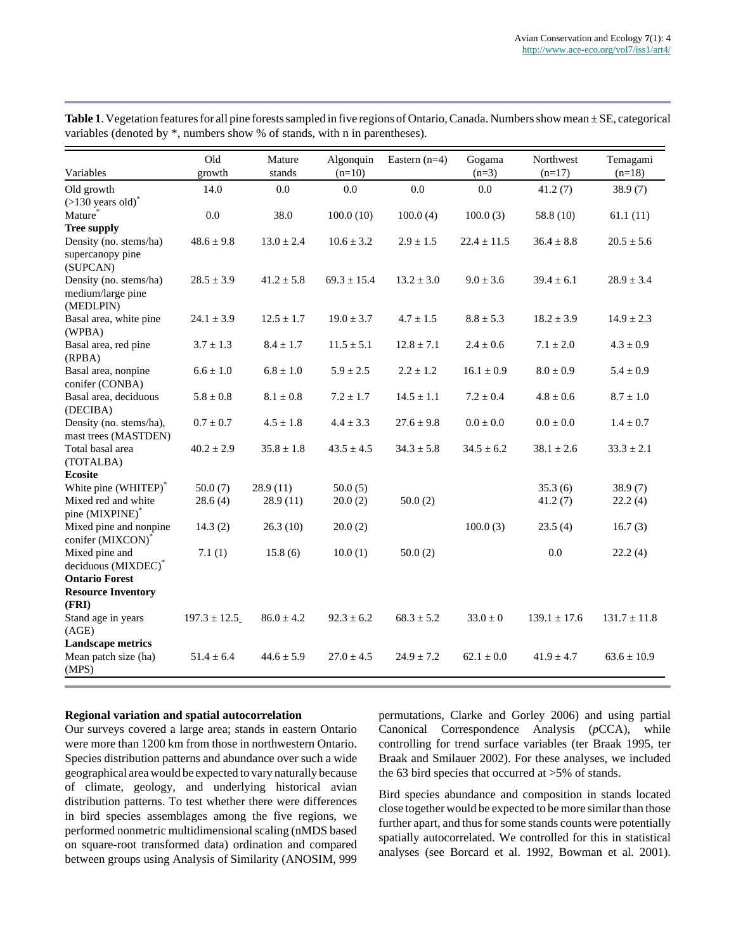| Variables                                                | Old              | Mature         | Algonquin       | Eastern $(n=4)$ | Gogama          | Northwest        | Temagami         |
|----------------------------------------------------------|------------------|----------------|-----------------|-----------------|-----------------|------------------|------------------|
|                                                          | growth           | stands         | $(n=10)$        |                 | $(n=3)$         | $(n=17)$         | $(n=18)$         |
| Old growth                                               | 14.0             | 0.0            | 0.0             | 0.0             | 0.0             | 41.2(7)          | 38.9(7)          |
| $($ >130 years old $)^*$                                 |                  |                |                 |                 |                 |                  |                  |
| Mature*                                                  | 0.0              | 38.0           | 100.0(10)       | 100.0(4)        | 100.0(3)        | 58.8 (10)        | 61.1(11)         |
| <b>Tree supply</b>                                       |                  |                |                 |                 |                 |                  |                  |
| Density (no. stems/ha)<br>supercanopy pine<br>(SUPCAN)   | $48.6 \pm 9.8$   | $13.0 \pm 2.4$ | $10.6 \pm 3.2$  | $2.9 \pm 1.5$   | $22.4 \pm 11.5$ | $36.4 \pm 8.8$   | $20.5 \pm 5.6$   |
| Density (no. stems/ha)<br>medium/large pine<br>(MEDLPIN) | $28.5 \pm 3.9$   | $41.2 \pm 5.8$ | $69.3 \pm 15.4$ | $13.2 \pm 3.0$  | $9.0 \pm 3.6$   | $39.4 \pm 6.1$   | $28.9 \pm 3.4$   |
| Basal area, white pine<br>(WPBA)                         | $24.1 \pm 3.9$   | $12.5 \pm 1.7$ | $19.0 \pm 3.7$  | $4.7 \pm 1.5$   | $8.8 \pm 5.3$   | $18.2 \pm 3.9$   | $14.9 \pm 2.3$   |
| Basal area, red pine<br>(RPBA)                           | $3.7 \pm 1.3$    | $8.4 \pm 1.7$  | $11.5 \pm 5.1$  | $12.8 \pm 7.1$  | $2.4 \pm 0.6$   | $7.1 \pm 2.0$    | $4.3 \pm 0.9$    |
| Basal area, nonpine<br>conifer (CONBA)                   | $6.6 \pm 1.0$    | $6.8 \pm 1.0$  | $5.9 \pm 2.5$   | $2.2 \pm 1.2$   | $16.1 \pm 0.9$  | $8.0 \pm 0.9$    | $5.4 \pm 0.9$    |
| Basal area, deciduous<br>(DECIBA)                        | $5.8 \pm 0.8$    | $8.1 \pm 0.8$  | $7.2 \pm 1.7$   | $14.5 \pm 1.1$  | $7.2 \pm 0.4$   | $4.8 \pm 0.6$    | $8.7 \pm 1.0$    |
| Density (no. stems/ha),<br>mast trees (MASTDEN)          | $0.7 \pm 0.7$    | $4.5 \pm 1.8$  | $4.4 \pm 3.3$   | $27.6 \pm 9.8$  | $0.0 \pm 0.0$   | $0.0\pm0.0$      | $1.4 \pm 0.7$    |
| Total basal area<br>(TOTALBA)                            | $40.2 \pm 2.9$   | $35.8 \pm 1.8$ | $43.5 \pm 4.5$  | $34.3 \pm 5.8$  | $34.5 \pm 6.2$  | $38.1 \pm 2.6$   | $33.3 \pm 2.1$   |
| <b>Ecosite</b>                                           |                  |                |                 |                 |                 |                  |                  |
| White pine (WHITEP)*                                     | 50.0(7)          | 28.9(11)       | 50.0(5)         |                 |                 | 35.3(6)          | 38.9(7)          |
| Mixed red and white<br>pine (MIXPINE)*                   | 28.6(4)          | 28.9(11)       | 20.0(2)         | 50.0(2)         |                 | 41.2(7)          | 22.2(4)          |
| Mixed pine and nonpine<br>conifer (MIXCON)*              | 14.3(2)          | 26.3(10)       | 20.0(2)         |                 | 100.0(3)        | 23.5(4)          | 16.7(3)          |
| Mixed pine and<br>deciduous (MIXDEC)*                    | 7.1(1)           | 15.8(6)        | 10.0(1)         | 50.0(2)         |                 | 0.0              | 22.2(4)          |
| <b>Ontario Forest</b>                                    |                  |                |                 |                 |                 |                  |                  |
| <b>Resource Inventory</b>                                |                  |                |                 |                 |                 |                  |                  |
| (FRI)                                                    |                  |                |                 |                 |                 |                  |                  |
| Stand age in years<br>(AGE)                              | $197.3 \pm 12.5$ | $86.0 \pm 4.2$ | $92.3 \pm 6.2$  | $68.3 \pm 5.2$  | $33.0 \pm 0$    | $139.1 \pm 17.6$ | $131.7 \pm 11.8$ |
| <b>Landscape metrics</b>                                 |                  |                |                 |                 |                 |                  |                  |
| Mean patch size (ha)<br>(MPS)                            | $51.4 \pm 6.4$   | $44.6 \pm 5.9$ | $27.0 \pm 4.5$  | $24.9 \pm 7.2$  | $62.1 \pm 0.0$  | $41.9 \pm 4.7$   | $63.6 \pm 10.9$  |

Table 1. Vegetation features for all pine forests sampled in five regions of Ontario, Canada. Numbers show mean  $\pm$  SE, categorical variables (denoted by \*, numbers show % of stands, with n in parentheses).

#### **Regional variation and spatial autocorrelation**

Our surveys covered a large area; stands in eastern Ontario were more than 1200 km from those in northwestern Ontario. Species distribution patterns and abundance over such a wide geographical area would be expected to vary naturally because of climate, geology, and underlying historical avian distribution patterns. To test whether there were differences in bird species assemblages among the five regions, we performed nonmetric multidimensional scaling (nMDS based on square-root transformed data) ordination and compared between groups using Analysis of Similarity (ANOSIM, 999 permutations, Clarke and Gorley 2006) and using partial Canonical Correspondence Analysis (*p*CCA), while controlling for trend surface variables (ter Braak 1995, ter Braak and Smilauer 2002). For these analyses, we included the 63 bird species that occurred at >5% of stands.

Bird species abundance and composition in stands located close together would be expected to be more similar than those further apart, and thus for some stands counts were potentially spatially autocorrelated. We controlled for this in statistical analyses (see Borcard et al. 1992, Bowman et al. 2001).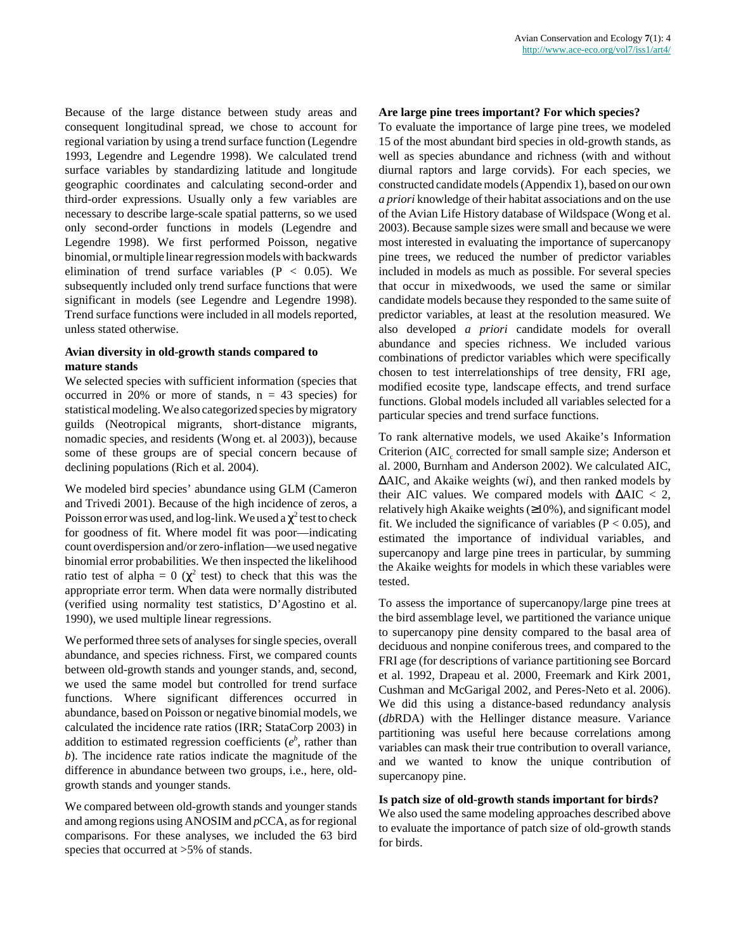Because of the large distance between study areas and consequent longitudinal spread, we chose to account for regional variation by using a trend surface function (Legendre 1993, Legendre and Legendre 1998). We calculated trend surface variables by standardizing latitude and longitude geographic coordinates and calculating second-order and third-order expressions. Usually only a few variables are necessary to describe large-scale spatial patterns, so we used only second-order functions in models (Legendre and Legendre 1998). We first performed Poisson, negative binomial, or multiple linear regression models with backwards elimination of trend surface variables  $(P < 0.05)$ . We subsequently included only trend surface functions that were significant in models (see Legendre and Legendre 1998). Trend surface functions were included in all models reported, unless stated otherwise.

## **Avian diversity in old-growth stands compared to mature stands**

We selected species with sufficient information (species that occurred in 20% or more of stands,  $n = 43$  species) for statistical modeling. We also categorized species by migratory guilds (Neotropical migrants, short-distance migrants, nomadic species, and residents (Wong et. al 2003)), because some of these groups are of special concern because of declining populations (Rich et al. 2004).

We modeled bird species' abundance using GLM (Cameron and Trivedi 2001). Because of the high incidence of zeros, a Poisson error was used, and log-link. We used a  $\chi^2$  test to check for goodness of fit. Where model fit was poor—indicating count overdispersion and/or zero-inflation—we used negative binomial error probabilities. We then inspected the likelihood ratio test of alpha =  $0 \left( \chi^2 \right)$  test) to check that this was the appropriate error term. When data were normally distributed (verified using normality test statistics, D'Agostino et al. 1990), we used multiple linear regressions.

We performed three sets of analyses for single species, overall abundance, and species richness. First, we compared counts between old-growth stands and younger stands, and, second, we used the same model but controlled for trend surface functions. Where significant differences occurred in abundance, based on Poisson or negative binomial models, we calculated the incidence rate ratios (IRR; StataCorp 2003) in addition to estimated regression coefficients  $(e^b, \text{ rather than})$ *b*). The incidence rate ratios indicate the magnitude of the difference in abundance between two groups, i.e., here, oldgrowth stands and younger stands.

We compared between old-growth stands and younger stands and among regions using ANOSIM and *p*CCA, as for regional comparisons. For these analyses, we included the 63 bird species that occurred at  $>5\%$  of stands.

#### **Are large pine trees important? For which species?**

To evaluate the importance of large pine trees, we modeled 15 of the most abundant bird species in old-growth stands, as well as species abundance and richness (with and without diurnal raptors and large corvids). For each species, we constructed candidate models (Appendix 1), based on our own *a priori* knowledge of their habitat associations and on the use of the Avian Life History database of Wildspace (Wong et al. 2003). Because sample sizes were small and because we were most interested in evaluating the importance of supercanopy pine trees, we reduced the number of predictor variables included in models as much as possible. For several species that occur in mixedwoods, we used the same or similar candidate models because they responded to the same suite of predictor variables, at least at the resolution measured. We also developed *a priori* candidate models for overall abundance and species richness. We included various combinations of predictor variables which were specifically chosen to test interrelationships of tree density, FRI age, modified ecosite type, landscape effects, and trend surface functions. Global models included all variables selected for a particular species and trend surface functions.

To rank alternative models, we used Akaike's Information Criterion (AIC<sub>c</sub> corrected for small sample size; Anderson et al. 2000, Burnham and Anderson 2002). We calculated AIC, ∆AIC, and Akaike weights (w*i*), and then ranked models by their AIC values. We compared models with  $\Delta AIC < 2$ , relatively high Akaike weights  $(\geq 10\%)$ , and significant model fit. We included the significance of variables ( $P < 0.05$ ), and estimated the importance of individual variables, and supercanopy and large pine trees in particular, by summing the Akaike weights for models in which these variables were tested.

To assess the importance of supercanopy/large pine trees at the bird assemblage level, we partitioned the variance unique to supercanopy pine density compared to the basal area of deciduous and nonpine coniferous trees, and compared to the FRI age (for descriptions of variance partitioning see Borcard et al. 1992, Drapeau et al. 2000, Freemark and Kirk 2001, Cushman and McGarigal 2002, and Peres-Neto et al. 2006). We did this using a distance-based redundancy analysis (*db*RDA) with the Hellinger distance measure. Variance partitioning was useful here because correlations among variables can mask their true contribution to overall variance, and we wanted to know the unique contribution of supercanopy pine.

## **Is patch size of old-growth stands important for birds?**

We also used the same modeling approaches described above to evaluate the importance of patch size of old-growth stands for birds.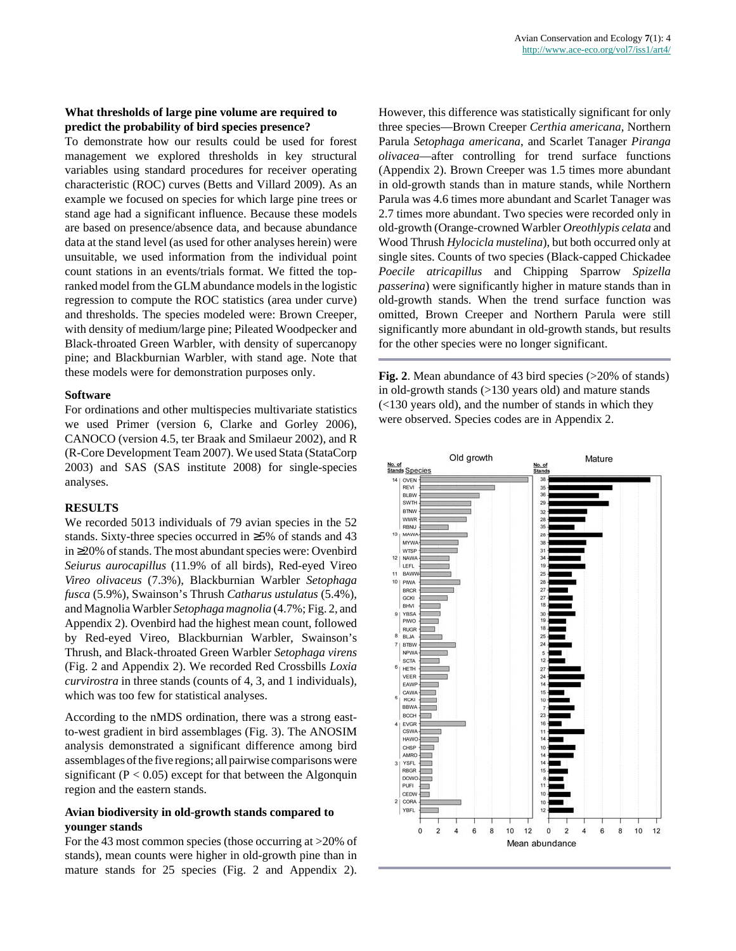## **What thresholds of large pine volume are required to predict the probability of bird species presence?**

To demonstrate how our results could be used for forest management we explored thresholds in key structural variables using standard procedures for receiver operating characteristic (ROC) curves (Betts and Villard 2009). As an example we focused on species for which large pine trees or stand age had a significant influence. Because these models are based on presence/absence data, and because abundance data at the stand level (as used for other analyses herein) were unsuitable, we used information from the individual point count stations in an events/trials format. We fitted the topranked model from the GLM abundance models in the logistic regression to compute the ROC statistics (area under curve) and thresholds. The species modeled were: Brown Creeper, with density of medium/large pine; Pileated Woodpecker and Black-throated Green Warbler, with density of supercanopy pine; and Blackburnian Warbler, with stand age. Note that these models were for demonstration purposes only.

#### **Software**

For ordinations and other multispecies multivariate statistics we used Primer (version 6, Clarke and Gorley 2006), CANOCO (version 4.5, ter Braak and Smilaeur 2002), and R (R-Core Development Team 2007). We used Stata (StataCorp 2003) and SAS (SAS institute 2008) for single-species analyses.

#### **RESULTS**

We recorded 5013 individuals of 79 avian species in the 52 stands. Sixty-three species occurred in ≥5% of stands and 43 in ≥20% of stands. The most abundant species were: Ovenbird *Seiurus aurocapillus* (11.9% of all birds), Red-eyed Vireo *Vireo olivaceus* (7.3%), Blackburnian Warbler *Setophaga fusca* (5.9%), Swainson's Thrush *Catharus ustulatus* (5.4%), and Magnolia Warbler *Setophaga magnolia* (4.7%; Fig. 2, and Appendix 2). Ovenbird had the highest mean count, followed by Red-eyed Vireo, Blackburnian Warbler, Swainson's Thrush, and Black-throated Green Warbler *Setophaga virens* (Fig. 2 and Appendix 2). We recorded Red Crossbills *Loxia curvirostra* in three stands (counts of 4, 3, and 1 individuals), which was too few for statistical analyses.

According to the nMDS ordination, there was a strong eastto-west gradient in bird assemblages (Fig. 3). The ANOSIM analysis demonstrated a significant difference among bird assemblages of the five regions; all pairwise comparisons were significant ( $P < 0.05$ ) except for that between the Algonquin region and the eastern stands.

## **Avian biodiversity in old-growth stands compared to younger stands**

For the 43 most common species (those occurring at >20% of stands), mean counts were higher in old-growth pine than in mature stands for 25 species (Fig. 2 and Appendix 2). However, this difference was statistically significant for only three species—Brown Creeper *Certhia americana*, Northern Parula *Setophaga americana*, and Scarlet Tanager *Piranga olivacea*—after controlling for trend surface functions (Appendix 2). Brown Creeper was 1.5 times more abundant in old-growth stands than in mature stands, while Northern Parula was 4.6 times more abundant and Scarlet Tanager was 2.7 times more abundant. Two species were recorded only in old-growth (Orange-crowned Warbler *Oreothlypis celata* and Wood Thrush *Hylocicla mustelina*), but both occurred only at single sites. Counts of two species (Black-capped Chickadee *Poecile atricapillus* and Chipping Sparrow *Spizella passerina*) were significantly higher in mature stands than in old-growth stands. When the trend surface function was omitted, Brown Creeper and Northern Parula were still significantly more abundant in old-growth stands, but results for the other species were no longer significant.

**Fig. 2.** Mean abundance of 43 bird species (>20% of stands) in old-growth stands (>130 years old) and mature stands (<130 years old), and the number of stands in which they were observed. Species codes are in Appendix 2.

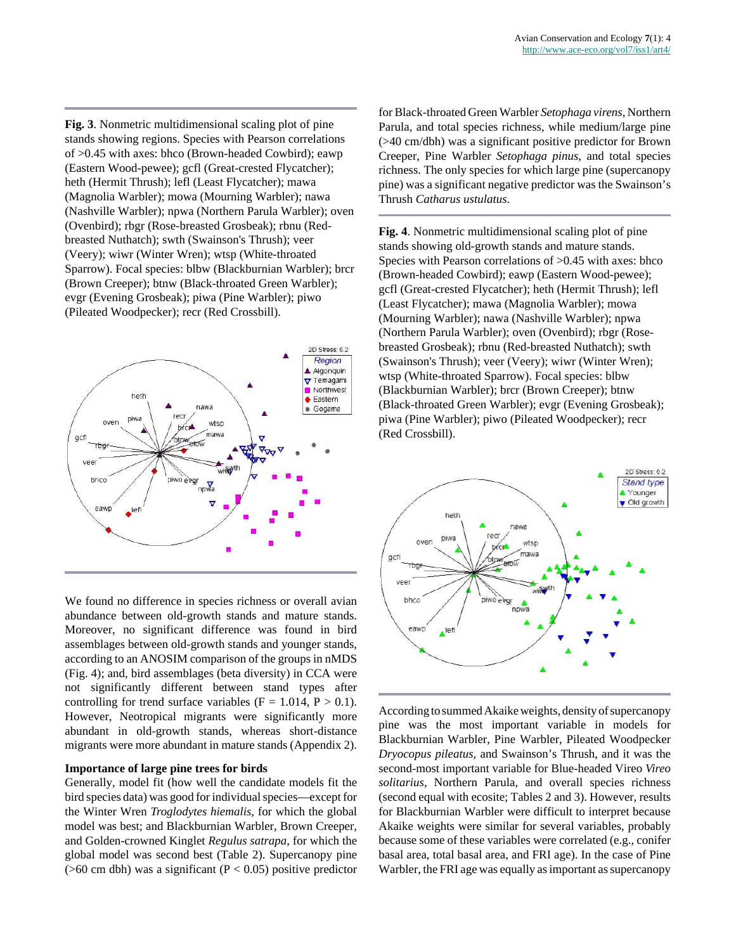**Fig. 3**. Nonmetric multidimensional scaling plot of pine stands showing regions. Species with Pearson correlations of >0.45 with axes: bhco (Brown-headed Cowbird); eawp (Eastern Wood-pewee); gcfl (Great-crested Flycatcher); heth (Hermit Thrush); lefl (Least Flycatcher); mawa (Magnolia Warbler); mowa (Mourning Warbler); nawa (Nashville Warbler); npwa (Northern Parula Warbler); oven (Ovenbird); rbgr (Rose-breasted Grosbeak); rbnu (Redbreasted Nuthatch); swth (Swainson's Thrush); veer (Veery); wiwr (Winter Wren); wtsp (White-throated Sparrow). Focal species: blbw (Blackburnian Warbler); brcr (Brown Creeper); btnw (Black-throated Green Warbler); evgr (Evening Grosbeak); piwa (Pine Warbler); piwo (Pileated Woodpecker); recr (Red Crossbill).



We found no difference in species richness or overall avian abundance between old-growth stands and mature stands. Moreover, no significant difference was found in bird assemblages between old-growth stands and younger stands, according to an ANOSIM comparison of the groups in nMDS (Fig. 4); and, bird assemblages (beta diversity) in CCA were not significantly different between stand types after controlling for trend surface variables ( $F = 1.014$ ,  $P > 0.1$ ). However, Neotropical migrants were significantly more abundant in old-growth stands, whereas short-distance migrants were more abundant in mature stands (Appendix 2).

# **Importance of large pine trees for birds**

Generally, model fit (how well the candidate models fit the bird species data) was good for individual species—except for the Winter Wren *Troglodytes hiemalis*, for which the global model was best; and Blackburnian Warbler, Brown Creeper, and Golden-crowned Kinglet *Regulus satrapa,* for which the global model was second best (Table 2). Supercanopy pine ( $>60$  cm dbh) was a significant ( $P < 0.05$ ) positive predictor for Black-throated Green Warbler *Setophaga virens*, Northern Parula, and total species richness, while medium/large pine (>40 cm/dbh) was a significant positive predictor for Brown Creeper, Pine Warbler *Setophaga pinus*, and total species richness. The only species for which large pine (supercanopy pine) was a significant negative predictor was the Swainson's Thrush *Catharus ustulatus*.

**Fig. 4**. Nonmetric multidimensional scaling plot of pine stands showing old-growth stands and mature stands. Species with Pearson correlations of  $>0.45$  with axes: bhco (Brown-headed Cowbird); eawp (Eastern Wood-pewee); gcfl (Great-crested Flycatcher); heth (Hermit Thrush); lefl (Least Flycatcher); mawa (Magnolia Warbler); mowa (Mourning Warbler); nawa (Nashville Warbler); npwa (Northern Parula Warbler); oven (Ovenbird); rbgr (Rosebreasted Grosbeak); rbnu (Red-breasted Nuthatch); swth (Swainson's Thrush); veer (Veery); wiwr (Winter Wren); wtsp (White-throated Sparrow). Focal species: blbw (Blackburnian Warbler); brcr (Brown Creeper); btnw (Black-throated Green Warbler); evgr (Evening Grosbeak); piwa (Pine Warbler); piwo (Pileated Woodpecker); recr (Red Crossbill).



According to summed Akaike weights, density of supercanopy pine was the most important variable in models for Blackburnian Warbler, Pine Warbler, Pileated Woodpecker *Dryocopus pileatus,* and Swainson's Thrush, and it was the second-most important variable for Blue-headed Vireo *Vireo solitarius*, Northern Parula, and overall species richness (second equal with ecosite; Tables 2 and 3). However, results for Blackburnian Warbler were difficult to interpret because Akaike weights were similar for several variables, probably because some of these variables were correlated (e.g., conifer basal area, total basal area, and FRI age). In the case of Pine Warbler, the FRI age was equally as important as supercanopy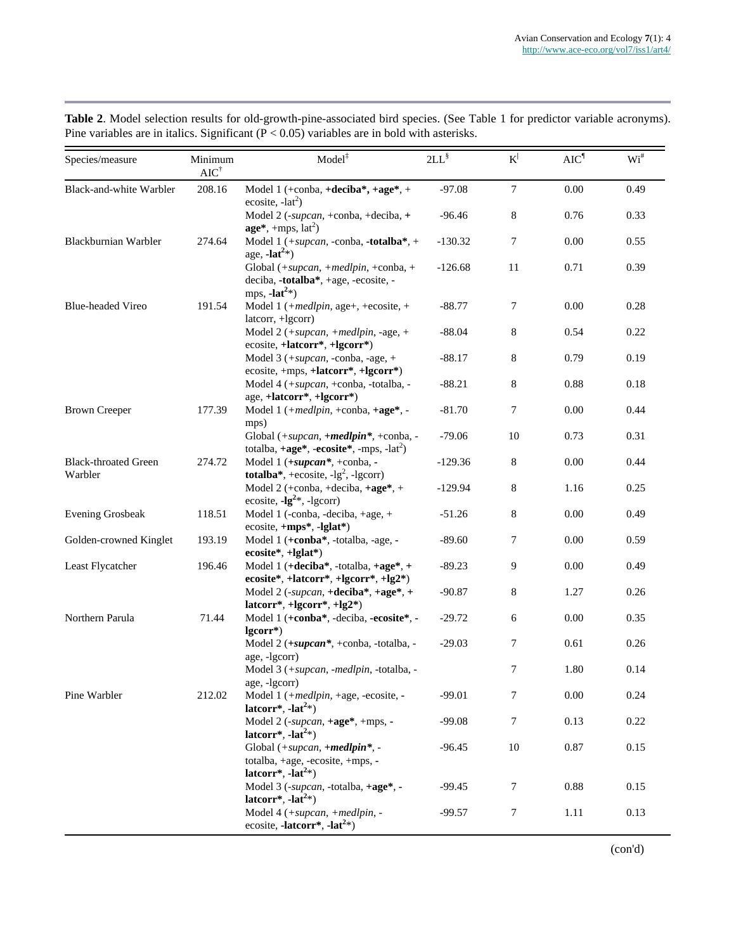| Species/measure                        | Minimum<br>$AIC^{\dagger}$ | Model <sup>‡</sup>                                                                                 | $2LL^{\$}$ | $K^{\vert}$ | AIC <sup>1</sup> | $\mathrm{Wi}^{\#}$ |
|----------------------------------------|----------------------------|----------------------------------------------------------------------------------------------------|------------|-------------|------------------|--------------------|
| <b>Black-and-white Warbler</b>         | 208.16                     | Model 1 (+conba, +deciba*, +age*, +<br>ecosite, $-lat^2$ )                                         | $-97.08$   | $\tau$      | 0.00             | 0.49               |
|                                        |                            | Model 2 (-supcan, +conba, +deciba, +<br>$age*, +mps, lat2)$                                        | $-96.46$   | 8           | 0.76             | 0.33               |
| Blackburnian Warbler                   | 274.64                     | Model 1 (+supcan, -conba, -totalba*, +<br>age, $-lat^{2*}$ )                                       | $-130.32$  | 7           | 0.00             | 0.55               |
|                                        |                            | Global (+supcan, +medlpin, +conba, +<br>deciba, -totalba*, +age, -ecosite, -<br>mps, $-lat^{2*}$ ) | $-126.68$  | 11          | 0.71             | 0.39               |
| <b>Blue-headed Vireo</b>               | 191.54                     | Model 1 (+medlpin, age+, +ecosite, +<br>latcorr, +lgcorr)                                          | $-88.77$   | 7           | 0.00             | 0.28               |
|                                        |                            | Model 2 (+supcan, +medlpin, -age, +<br>ecosite, +latcorr*, +lgcorr*)                               | $-88.04$   | 8           | 0.54             | 0.22               |
|                                        |                            | Model 3 $(+\text{supcan}, -\text{conba}, -\text{age}, +$<br>ecosite, +mps, +latcorr*, +lgcorr*)    | $-88.17$   | 8           | 0.79             | 0.19               |
|                                        |                            | Model 4 (+supcan, +conba, -totalba, -<br>age, +latcorr*, +lgcorr*)                                 | $-88.21$   | 8           | 0.88             | 0.18               |
| <b>Brown Creeper</b>                   | 177.39                     | Model 1 (+medlpin, +conba, +age*, -<br>mps)                                                        | $-81.70$   | 7           | 0.00             | 0.44               |
|                                        |                            | Global (+supcan, +medlpin*, +conba, -<br>totalba, +age*, -ecosite*, -mps, -lat <sup>2</sup> )      | $-79.06$   | 10          | 0.73             | 0.31               |
| <b>Black-throated Green</b><br>Warbler | 274.72                     | Model 1 (+supcan*, +conba, -<br>totalba*, +ecosite, $-lg^2$ , -lgcorr)                             | $-129.36$  | 8           | 0.00             | 0.44               |
|                                        |                            | Model 2 (+conba, +deciba, +age*, +<br>ecosite, $-lg^{2*}$ , $-lgcorr$ )                            | $-129.94$  | 8           | 1.16             | 0.25               |
| <b>Evening Grosbeak</b>                | 118.51                     | Model 1 (-conba, -deciba, +age, +<br>ecosite, +mps*, -lglat*)                                      | $-51.26$   | 8           | 0.00             | 0.49               |
| Golden-crowned Kinglet                 | 193.19                     | Model 1 (+conba*, -totalba, -age, -<br>ecosite*, +lglat*)                                          | $-89.60$   | 7           | 0.00             | 0.59               |
| Least Flycatcher                       | 196.46                     | Model 1 (+deciba*, -totalba, +age*, +<br>ecosite*, +latcorr*, +lgcorr*, +lg2*)                     | $-89.23$   | 9           | 0.00             | 0.49               |
|                                        |                            | Model 2 (-supcan, +deciba*, +age*, +<br>latcorr*, +lgcorr*, +lg2*)                                 | $-90.87$   | 8           | 1.27             | 0.26               |
| Northern Parula                        | 71.44                      | Model 1 (+conba*, -deciba, -ecosite*, -<br>lgcorr*)                                                | $-29.72$   | 6           | 0.00             | 0.35               |
|                                        |                            | Model 2 (+supcan*, +conba, -totalba, -<br>age, -lgcorr)                                            | $-29.03$   | 7           | 0.61             | 0.26               |
|                                        |                            | Model 3 (+supcan, -medlpin, -totalba, -<br>age, -lgcorr)                                           |            | 7           | 1.80             | 0.14               |
| Pine Warbler                           | 212.02                     | Model 1 (+medlpin, +age, -ecosite, -<br>latcorr*, -lat <sup>2*</sup> )                             | $-99.01$   | 7           | 0.00             | 0.24               |
|                                        |                            | Model 2 (-supcan, +age*, +mps, -<br>latcorr*, -lat <sup>2*</sup> )                                 | $-99.08$   | 7           | 0.13             | 0.22               |
|                                        |                            | Global (+supcan, +medlpin*, -<br>totalba, +age, -ecosite, +mps, -<br>latcorr*, $-lat^{2*}$ )       | $-96.45$   | 10          | 0.87             | 0.15               |
|                                        |                            | Model 3 (-supcan, -totalba, +age*, -<br>latcorr*, $-lat^{2*}$ )                                    | $-99.45$   | 7           | 0.88             | 0.15               |
|                                        |                            | Model 4 (+supcan, +medlpin, -<br>ecosite, -latcorr <sup>*</sup> , -lat <sup>2</sup> *)             | $-99.57$   | 7           | 1.11             | 0.13               |

**Table 2**. Model selection results for old-growth-pine-associated bird species. (See Table 1 for predictor variable acronyms). Pine variables are in italics. Significant ( $\overline{P}$  < 0.05) variables are in bold with asterisks.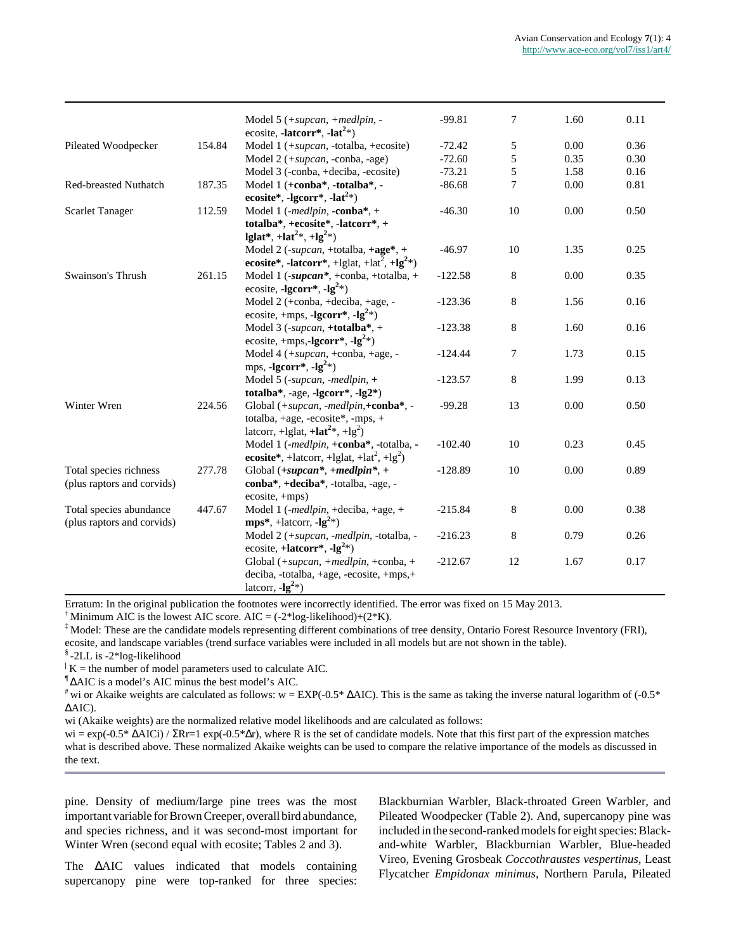|                              |        | Model 5 (+supcan, +medlpin, -<br>ecosite, -latcorr*, -lat <sup>2</sup> *) | $-99.81$  | $\overline{7}$ | 1.60 | 0.11 |
|------------------------------|--------|---------------------------------------------------------------------------|-----------|----------------|------|------|
| Pileated Woodpecker          | 154.84 | Model 1 (+supcan, -totalba, +ecosite)                                     | $-72.42$  | 5              | 0.00 | 0.36 |
|                              |        | Model $2 (+ superan, -\text{c} \cdot \text{angle})$                       | $-72.60$  | 5              | 0.35 | 0.30 |
|                              |        | Model 3 (-conba, +deciba, -ecosite)                                       | $-73.21$  | 5              | 1.58 | 0.16 |
| <b>Red-breasted Nuthatch</b> | 187.35 | Model 1 (+conba*, -totalba*, -                                            | $-86.68$  | 7              | 0.00 | 0.81 |
|                              |        | ecosite*, -lgcorr*, -lat <sup>2</sup> *)                                  |           |                |      |      |
| <b>Scarlet Tanager</b>       | 112.59 | Model 1 (-medlpin, -conba*, +                                             | $-46.30$  | 10             | 0.00 | 0.50 |
|                              |        | totalba*, +ecosite*, -latcorr*, +                                         |           |                |      |      |
|                              |        | lglat*, +lat <sup>2</sup> *, +lg <sup>2</sup> *)                          |           |                |      |      |
|                              |        | Model 2 (-supcan, +totalba, +age*, +                                      | $-46.97$  | 10             | 1.35 | 0.25 |
|                              |        | ecosite*, -latcorr*, +lglat, +lat <sup>2</sup> , +lg <sup>2</sup> *)      |           |                |      |      |
| Swainson's Thrush            | 261.15 | Model 1 (-supcan*, +conba, +totalba, +                                    | $-122.58$ | $\,8\,$        | 0.00 | 0.35 |
|                              |        | ecosite, -lgcorr*, -lg <sup>2</sup> *)                                    |           |                |      |      |
|                              |        | Model 2 (+conba, +deciba, +age, -                                         | $-123.36$ | $8\phantom{1}$ | 1.56 | 0.16 |
|                              |        | ecosite, +mps, -lgcorr*, -lg <sup>2</sup> *)                              |           |                |      |      |
|                              |        | Model 3 (-supcan, +totalba*, +                                            | $-123.38$ | $\,8\,$        | 1.60 | 0.16 |
|                              |        | ecosite, +mps,-lgcorr*, -lg <sup>2</sup> *)                               |           |                |      |      |
|                              |        | Model 4 (+supcan, +conba, +age, -                                         | $-124.44$ | 7              | 1.73 | 0.15 |
|                              |        | mps, -lgcorr*, -lg <sup>2</sup> *)                                        |           |                |      |      |
|                              |        | Model 5 (-supcan, -medlpin, +                                             | $-123.57$ | $8\phantom{1}$ | 1.99 | 0.13 |
|                              |        | totalba*, -age, -lgcorr*, -lg2*)                                          |           |                |      |      |
| Winter Wren                  | 224.56 | Global $(+\text{supcan}, -\text{medium}, +\text{conn})$ .                 | $-99.28$  | 13             | 0.00 | 0.50 |
|                              |        | totalba, $+age$ , $-ecosite^*$ , $-mps$ , $+$                             |           |                |      |      |
|                              |        | latcorr, +lglat, +lat <sup>2</sup> *, +lg <sup>2</sup> )                  |           |                |      |      |
|                              |        | Model 1 (-medlpin, +conba*, -totalba, -                                   | $-102.40$ | 10             | 0.23 | 0.45 |
|                              |        | ecosite*, +latcorr, +lglat, +lat <sup>2</sup> , +lg <sup>2</sup> )        |           |                |      |      |
| Total species richness       | 277.78 | Global $(+\textit{supcan}^*, +\textit{medium}^*, +$                       | $-128.89$ | 10             | 0.00 | 0.89 |
| (plus raptors and corvids)   |        | conba*, +deciba*, -totalba, -age, -                                       |           |                |      |      |
|                              |        | ecosite, +mps)                                                            |           |                |      |      |
| Total species abundance      | 447.67 | Model 1 (-medlpin, +deciba, +age, +                                       | $-215.84$ | $8\phantom{1}$ | 0.00 | 0.38 |
| (plus raptors and corvids)   |        | $mps^*$ , +latcorr, -lg <sup>2</sup> *)                                   |           |                |      |      |
|                              |        | Model 2 (+supcan, -medlpin, -totalba, -                                   | $-216.23$ | $8\phantom{1}$ | 0.79 | 0.26 |
|                              |        | ecosite, +latcorr*, $-lg^{2*}$ )                                          |           |                |      |      |
|                              |        | Global $(+\text{supcan}, +\text{medium}, +\text{comb}a, +$                | $-212.67$ | 12             | 1.67 | 0.17 |
|                              |        | deciba, -totalba, +age, -ecosite, +mps,+                                  |           |                |      |      |
|                              |        | latcorr, $-lg^{2*}$ )                                                     |           |                |      |      |

Erratum: In the original publication the footnotes were incorrectly identified. The error was fixed on 15 May 2013.

<sup>†</sup> Minimum AIC is the lowest AIC score. AIC =  $(-2 \cdot \log-\text{likelihood})+(2 \cdot \text{K})$ .

‡ Model: These are the candidate models representing different combinations of tree density, Ontario Forest Resource Inventory (FRI), ecosite, and landscape variables (trend surface variables were included in all models but are not shown in the table).

§ -2LL is -2\*log-likelihood

 $\vert K \vert$  K = the number of model parameters used to calculate AIC.

¶ ∆AIC is a model's AIC minus the best model's AIC.

<sup>#</sup> wi or Akaike weights are calculated as follows: w = EXP(-0.5\*  $\triangle$ AIC). This is the same as taking the inverse natural logarithm of (-0.5\* ∆AIC).

wi (Akaike weights) are the normalized relative model likelihoods and are calculated as follows:

 $wi = exp(-0.5 * ΔAICi) / ZRr=1 exp(-0.5 * Δr)$ , where R is the set of candidate models. Note that this first part of the expression matches what is described above. These normalized Akaike weights can be used to compare the relative importance of the models as discussed in the text.

pine. Density of medium/large pine trees was the most important variable for Brown Creeper, overall bird abundance, and species richness, and it was second-most important for Winter Wren (second equal with ecosite; Tables 2 and 3).

The ∆AIC values indicated that models containing supercanopy pine were top-ranked for three species:

Blackburnian Warbler, Black-throated Green Warbler, and Pileated Woodpecker (Table 2). And, supercanopy pine was included in the second-ranked models for eight species: Blackand-white Warbler, Blackburnian Warbler, Blue-headed Vireo, Evening Grosbeak *Coccothraustes vespertinus*, Least Flycatcher *Empidonax minimus*, Northern Parula, Pileated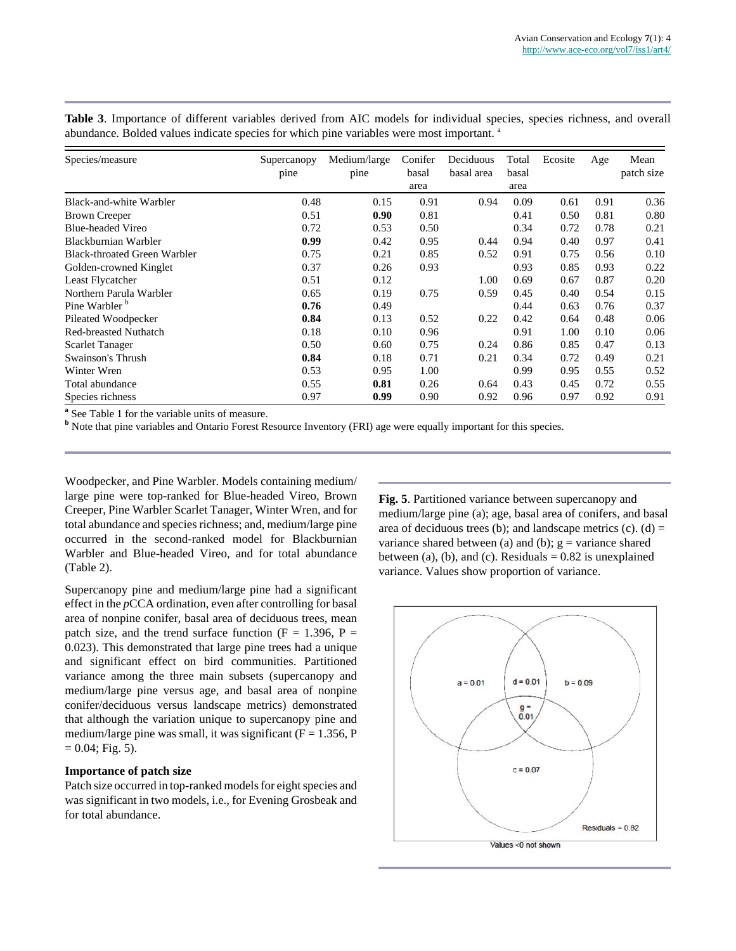**Table 3**. Importance of different variables derived from AIC models for individual species, species richness, and overall abundance. Bolded values indicate species for which pine variables were most important.<sup>a</sup>

| Species/measure                     | Supercanopy<br>pine | Medium/large<br>pine | Conifer<br>basal | Deciduous<br>basal area | Total<br>basal | Ecosite | Age  | Mean<br>patch size |
|-------------------------------------|---------------------|----------------------|------------------|-------------------------|----------------|---------|------|--------------------|
|                                     |                     |                      | area             |                         | area           |         |      |                    |
| Black-and-white Warbler             | 0.48                | 0.15                 | 0.91             | 0.94                    | 0.09           | 0.61    | 0.91 | 0.36               |
| <b>Brown Creeper</b>                | 0.51                | 0.90                 | 0.81             |                         | 0.41           | 0.50    | 0.81 | 0.80               |
| <b>Blue-headed Vireo</b>            | 0.72                | 0.53                 | 0.50             |                         | 0.34           | 0.72    | 0.78 | 0.21               |
| Blackburnian Warbler                | 0.99                | 0.42                 | 0.95             | 0.44                    | 0.94           | 0.40    | 0.97 | 0.41               |
| <b>Black-throated Green Warbler</b> | 0.75                | 0.21                 | 0.85             | 0.52                    | 0.91           | 0.75    | 0.56 | 0.10               |
| Golden-crowned Kinglet              | 0.37                | 0.26                 | 0.93             |                         | 0.93           | 0.85    | 0.93 | 0.22               |
| Least Flycatcher                    | 0.51                | 0.12                 |                  | 1.00                    | 0.69           | 0.67    | 0.87 | 0.20               |
| Northern Parula Warbler             | 0.65                | 0.19                 | 0.75             | 0.59                    | 0.45           | 0.40    | 0.54 | 0.15               |
| Pine Warbler <sup>b</sup>           | 0.76                | 0.49                 |                  |                         | 0.44           | 0.63    | 0.76 | 0.37               |
| Pileated Woodpecker                 | 0.84                | 0.13                 | 0.52             | 0.22                    | 0.42           | 0.64    | 0.48 | 0.06               |
| <b>Red-breasted Nuthatch</b>        | 0.18                | 0.10                 | 0.96             |                         | 0.91           | 1.00    | 0.10 | 0.06               |
| <b>Scarlet Tanager</b>              | 0.50                | 0.60                 | 0.75             | 0.24                    | 0.86           | 0.85    | 0.47 | 0.13               |
| Swainson's Thrush                   | 0.84                | 0.18                 | 0.71             | 0.21                    | 0.34           | 0.72    | 0.49 | 0.21               |
| Winter Wren                         | 0.53                | 0.95                 | 1.00             |                         | 0.99           | 0.95    | 0.55 | 0.52               |
| Total abundance                     | 0.55                | 0.81                 | 0.26             | 0.64                    | 0.43           | 0.45    | 0.72 | 0.55               |
| Species richness                    | 0.97                | 0.99                 | 0.90             | 0.92                    | 0.96           | 0.97    | 0.92 | 0.91               |

**a** See Table 1 for the variable units of measure.

**b** Note that pine variables and Ontario Forest Resource Inventory (FRI) age were equally important for this species.

Woodpecker, and Pine Warbler. Models containing medium/ large pine were top-ranked for Blue-headed Vireo, Brown Creeper, Pine Warbler Scarlet Tanager, Winter Wren, and for total abundance and species richness; and, medium/large pine occurred in the second-ranked model for Blackburnian Warbler and Blue-headed Vireo, and for total abundance (Table 2).

Supercanopy pine and medium/large pine had a significant effect in the *p*CCA ordination, even after controlling for basal area of nonpine conifer, basal area of deciduous trees, mean patch size, and the trend surface function ( $F = 1.396$ ,  $P =$ 0.023). This demonstrated that large pine trees had a unique and significant effect on bird communities. Partitioned variance among the three main subsets (supercanopy and medium/large pine versus age, and basal area of nonpine conifer/deciduous versus landscape metrics) demonstrated that although the variation unique to supercanopy pine and medium/large pine was small, it was significant  $(F = 1.356, P)$  $= 0.04$ ; Fig. 5).

#### **Importance of patch size**

Patch size occurred in top-ranked models for eight species and was significant in two models, i.e., for Evening Grosbeak and for total abundance.

**Fig. 5**. Partitioned variance between supercanopy and medium/large pine (a); age, basal area of conifers, and basal area of deciduous trees (b); and landscape metrics (c). (d) = variance shared between (a) and (b);  $g = \text{variance shared}$ between (a), (b), and (c). Residuals  $= 0.82$  is unexplained variance. Values show proportion of variance.

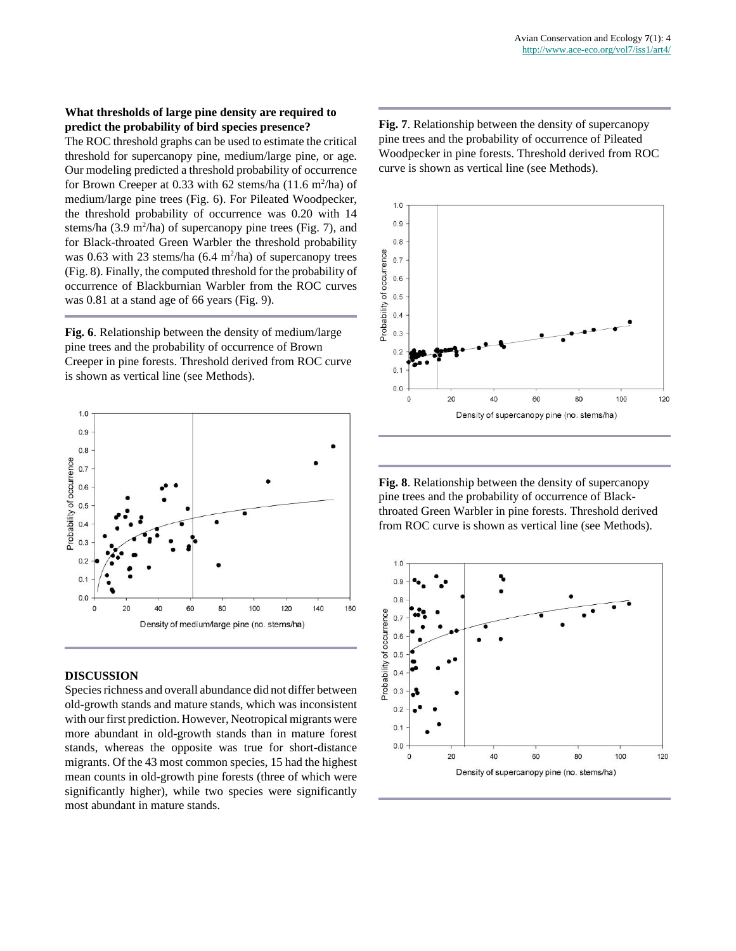## **What thresholds of large pine density are required to predict the probability of bird species presence?**

The ROC threshold graphs can be used to estimate the critical threshold for supercanopy pine, medium/large pine, or age. Our modeling predicted a threshold probability of occurrence for Brown Creeper at 0.33 with 62 stems/ha  $(11.6 \text{ m}^2/\text{ha})$  of medium/large pine trees (Fig. 6). For Pileated Woodpecker, the threshold probability of occurrence was 0.20 with 14 stems/ha  $(3.9 \text{ m}^2/\text{ha})$  of supercanopy pine trees (Fig. 7), and for Black-throated Green Warbler the threshold probability was 0.63 with 23 stems/ha  $(6.4 \text{ m}^2/\text{ha})$  of supercanopy trees (Fig. 8). Finally, the computed threshold for the probability of occurrence of Blackburnian Warbler from the ROC curves was 0.81 at a stand age of 66 years (Fig. 9).

**Fig. 6**. Relationship between the density of medium/large pine trees and the probability of occurrence of Brown Creeper in pine forests. Threshold derived from ROC curve is shown as vertical line (see Methods).



## **DISCUSSION**

Species richness and overall abundance did not differ between old-growth stands and mature stands, which was inconsistent with our first prediction. However, Neotropical migrants were more abundant in old-growth stands than in mature forest stands, whereas the opposite was true for short-distance migrants. Of the 43 most common species, 15 had the highest mean counts in old-growth pine forests (three of which were significantly higher), while two species were significantly most abundant in mature stands.

**Fig. 7**. Relationship between the density of supercanopy pine trees and the probability of occurrence of Pileated Woodpecker in pine forests. Threshold derived from ROC curve is shown as vertical line (see Methods).



**Fig. 8**. Relationship between the density of supercanopy pine trees and the probability of occurrence of Blackthroated Green Warbler in pine forests. Threshold derived from ROC curve is shown as vertical line (see Methods).

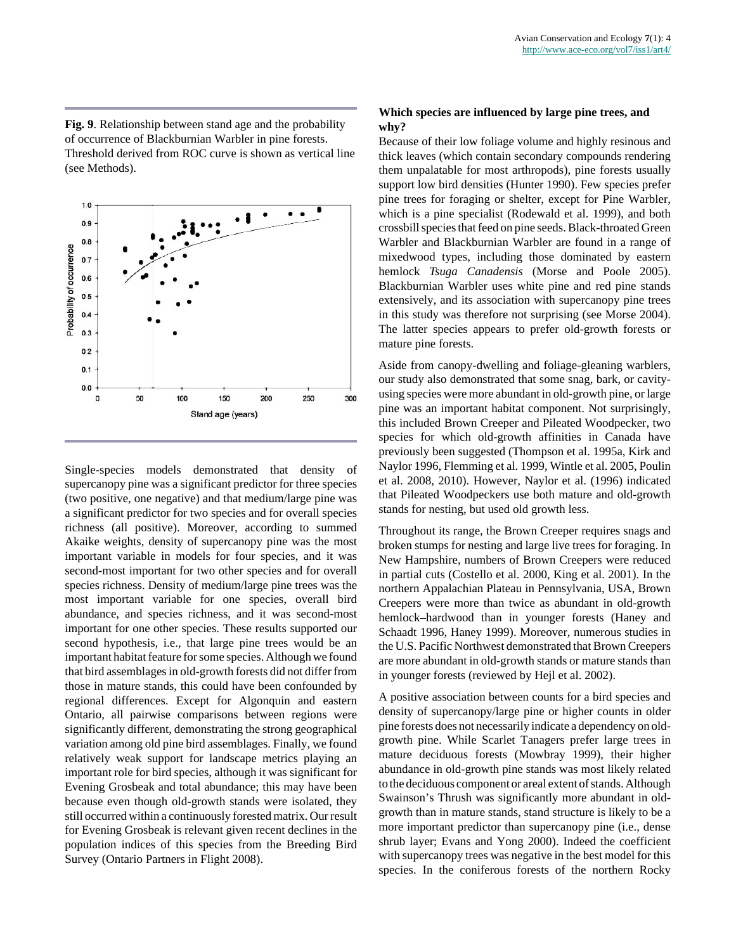**Fig. 9**. Relationship between stand age and the probability of occurrence of Blackburnian Warbler in pine forests. Threshold derived from ROC curve is shown as vertical line (see Methods).



Single-species models demonstrated that density of supercanopy pine was a significant predictor for three species (two positive, one negative) and that medium/large pine was a significant predictor for two species and for overall species richness (all positive). Moreover, according to summed Akaike weights, density of supercanopy pine was the most important variable in models for four species, and it was second-most important for two other species and for overall species richness. Density of medium/large pine trees was the most important variable for one species, overall bird abundance, and species richness, and it was second-most important for one other species. These results supported our second hypothesis, i.e., that large pine trees would be an important habitat feature for some species. Although we found that bird assemblages in old-growth forests did not differ from those in mature stands, this could have been confounded by regional differences. Except for Algonquin and eastern Ontario, all pairwise comparisons between regions were significantly different, demonstrating the strong geographical variation among old pine bird assemblages. Finally, we found relatively weak support for landscape metrics playing an important role for bird species, although it was significant for Evening Grosbeak and total abundance; this may have been because even though old-growth stands were isolated, they still occurred within a continuously forested matrix. Our result for Evening Grosbeak is relevant given recent declines in the population indices of this species from the Breeding Bird Survey (Ontario Partners in Flight 2008).

# **Which species are influenced by large pine trees, and why?**

Because of their low foliage volume and highly resinous and thick leaves (which contain secondary compounds rendering them unpalatable for most arthropods), pine forests usually support low bird densities (Hunter 1990). Few species prefer pine trees for foraging or shelter, except for Pine Warbler, which is a pine specialist (Rodewald et al. 1999), and both crossbill species that feed on pine seeds. Black-throated Green Warbler and Blackburnian Warbler are found in a range of mixedwood types, including those dominated by eastern hemlock *Tsuga Canadensis* (Morse and Poole 2005). Blackburnian Warbler uses white pine and red pine stands extensively, and its association with supercanopy pine trees in this study was therefore not surprising (see Morse 2004). The latter species appears to prefer old-growth forests or mature pine forests.

Aside from canopy-dwelling and foliage-gleaning warblers, our study also demonstrated that some snag, bark, or cavityusing species were more abundant in old-growth pine, or large pine was an important habitat component. Not surprisingly, this included Brown Creeper and Pileated Woodpecker, two species for which old-growth affinities in Canada have previously been suggested (Thompson et al. 1995a, Kirk and Naylor 1996, Flemming et al. 1999, Wintle et al. 2005, Poulin et al. 2008, 2010). However, Naylor et al. (1996) indicated that Pileated Woodpeckers use both mature and old-growth stands for nesting, but used old growth less.

Throughout its range, the Brown Creeper requires snags and broken stumps for nesting and large live trees for foraging. In New Hampshire, numbers of Brown Creepers were reduced in partial cuts (Costello et al. 2000, King et al. 2001). In the northern Appalachian Plateau in Pennsylvania, USA, Brown Creepers were more than twice as abundant in old-growth hemlock–hardwood than in younger forests (Haney and Schaadt 1996, Haney 1999). Moreover, numerous studies in the U.S. Pacific Northwest demonstrated that Brown Creepers are more abundant in old-growth stands or mature stands than in younger forests (reviewed by Hejl et al. 2002).

A positive association between counts for a bird species and density of supercanopy/large pine or higher counts in older pine forests does not necessarily indicate a dependency on oldgrowth pine. While Scarlet Tanagers prefer large trees in mature deciduous forests (Mowbray 1999), their higher abundance in old-growth pine stands was most likely related to the deciduous component or areal extent of stands. Although Swainson's Thrush was significantly more abundant in oldgrowth than in mature stands, stand structure is likely to be a more important predictor than supercanopy pine (i.e., dense shrub layer; Evans and Yong 2000). Indeed the coefficient with supercanopy trees was negative in the best model for this species. In the coniferous forests of the northern Rocky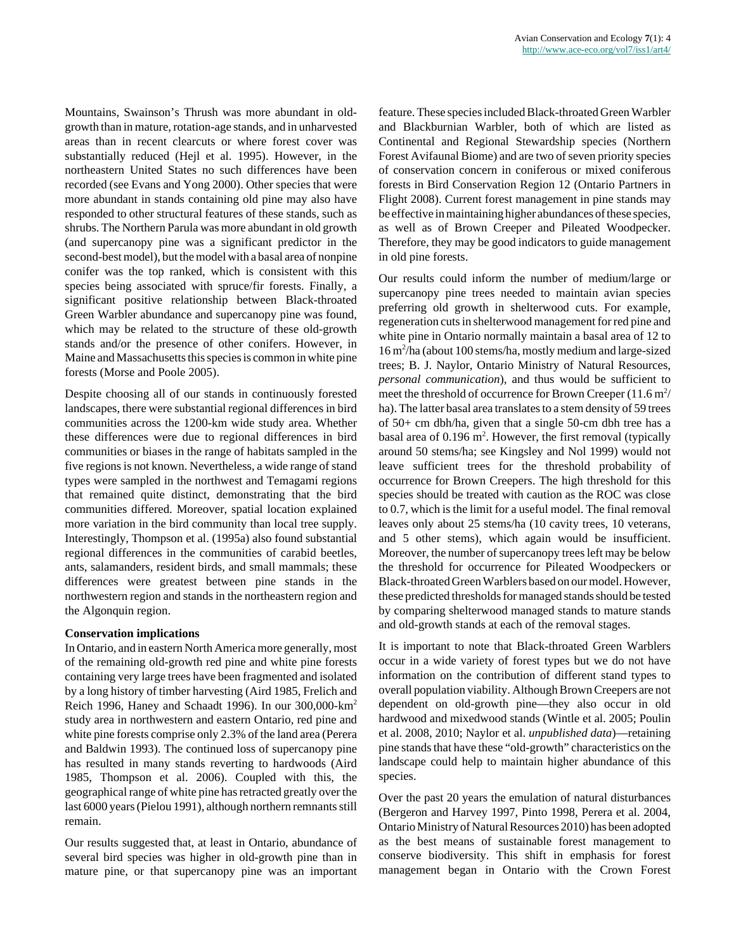Mountains, Swainson's Thrush was more abundant in oldgrowth than in mature, rotation-age stands, and in unharvested areas than in recent clearcuts or where forest cover was substantially reduced (Hejl et al. 1995). However, in the northeastern United States no such differences have been recorded (see Evans and Yong 2000). Other species that were more abundant in stands containing old pine may also have responded to other structural features of these stands, such as shrubs. The Northern Parula was more abundant in old growth (and supercanopy pine was a significant predictor in the second-best model), but the model with a basal area of nonpine conifer was the top ranked, which is consistent with this species being associated with spruce/fir forests. Finally, a significant positive relationship between Black-throated Green Warbler abundance and supercanopy pine was found, which may be related to the structure of these old-growth stands and/or the presence of other conifers. However, in Maine and Massachusetts this species is common in white pine forests (Morse and Poole 2005).

Despite choosing all of our stands in continuously forested landscapes, there were substantial regional differences in bird communities across the 1200-km wide study area. Whether these differences were due to regional differences in bird communities or biases in the range of habitats sampled in the five regions is not known. Nevertheless, a wide range of stand types were sampled in the northwest and Temagami regions that remained quite distinct, demonstrating that the bird communities differed. Moreover, spatial location explained more variation in the bird community than local tree supply. Interestingly, Thompson et al. (1995a) also found substantial regional differences in the communities of carabid beetles, ants, salamanders, resident birds, and small mammals; these differences were greatest between pine stands in the northwestern region and stands in the northeastern region and the Algonquin region.

#### **Conservation implications**

In Ontario, and in eastern North America more generally, most of the remaining old-growth red pine and white pine forests containing very large trees have been fragmented and isolated by a long history of timber harvesting (Aird 1985, Frelich and Reich 1996, Haney and Schaadt 1996). In our 300,000-km<sup>2</sup> study area in northwestern and eastern Ontario, red pine and white pine forests comprise only 2.3% of the land area (Perera and Baldwin 1993). The continued loss of supercanopy pine has resulted in many stands reverting to hardwoods (Aird 1985, Thompson et al. 2006). Coupled with this, the geographical range of white pine has retracted greatly over the last 6000 years (Pielou 1991), although northern remnants still remain.

Our results suggested that, at least in Ontario, abundance of several bird species was higher in old-growth pine than in mature pine, or that supercanopy pine was an important feature. These species included Black-throated Green Warbler and Blackburnian Warbler, both of which are listed as Continental and Regional Stewardship species (Northern Forest Avifaunal Biome) and are two of seven priority species of conservation concern in coniferous or mixed coniferous forests in Bird Conservation Region 12 (Ontario Partners in Flight 2008). Current forest management in pine stands may be effective in maintaining higher abundances of these species, as well as of Brown Creeper and Pileated Woodpecker. Therefore, they may be good indicators to guide management in old pine forests.

Our results could inform the number of medium/large or supercanopy pine trees needed to maintain avian species preferring old growth in shelterwood cuts. For example, regeneration cuts in shelterwood management for red pine and white pine in Ontario normally maintain a basal area of 12 to 16 m<sup>2</sup> /ha (about 100 stems/ha, mostly medium and large-sized trees; B. J. Naylor, Ontario Ministry of Natural Resources, *personal communication*), and thus would be sufficient to meet the threshold of occurrence for Brown Creeper (11.6  $\mathrm{m}^2$ / ha). The latter basal area translates to a stem density of 59 trees of 50+ cm dbh/ha, given that a single 50-cm dbh tree has a basal area of  $0.196$  m<sup>2</sup>. However, the first removal (typically around 50 stems/ha; see Kingsley and Nol 1999) would not leave sufficient trees for the threshold probability of occurrence for Brown Creepers. The high threshold for this species should be treated with caution as the ROC was close to 0.7, which is the limit for a useful model. The final removal leaves only about 25 stems/ha (10 cavity trees, 10 veterans, and 5 other stems), which again would be insufficient. Moreover, the number of supercanopy trees left may be below the threshold for occurrence for Pileated Woodpeckers or Black-throated Green Warblers based on our model. However, these predicted thresholds for managed stands should be tested by comparing shelterwood managed stands to mature stands and old-growth stands at each of the removal stages.

It is important to note that Black-throated Green Warblers occur in a wide variety of forest types but we do not have information on the contribution of different stand types to overall population viability. Although Brown Creepers are not dependent on old-growth pine—they also occur in old hardwood and mixedwood stands (Wintle et al. 2005; Poulin et al. 2008, 2010; Naylor et al. *unpublished data*)—retaining pine stands that have these "old-growth" characteristics on the landscape could help to maintain higher abundance of this species.

Over the past 20 years the emulation of natural disturbances (Bergeron and Harvey 1997, Pinto 1998, Perera et al. 2004, Ontario Ministry of Natural Resources 2010) has been adopted as the best means of sustainable forest management to conserve biodiversity. This shift in emphasis for forest management began in Ontario with the Crown Forest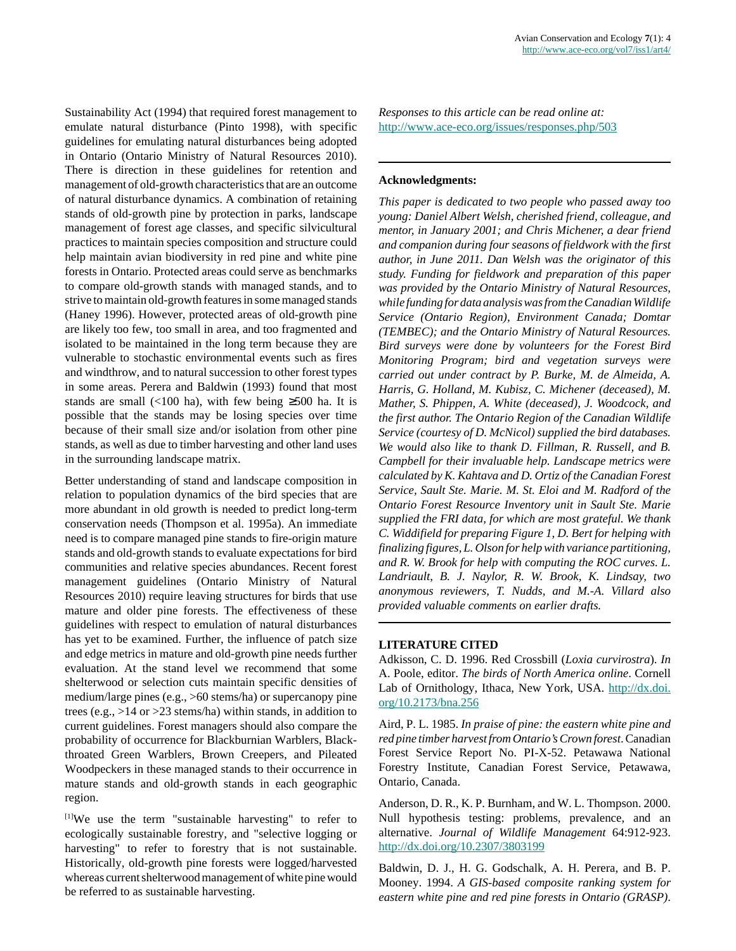Sustainability Act (1994) that required forest management to emulate natural disturbance (Pinto 1998), with specific guidelines for emulating natural disturbances being adopted in Ontario (Ontario Ministry of Natural Resources 2010). There is direction in these guidelines for retention and management of old-growth characteristics that are an outcome of natural disturbance dynamics. A combination of retaining stands of old-growth pine by protection in parks, landscape management of forest age classes, and specific silvicultural practices to maintain species composition and structure could help maintain avian biodiversity in red pine and white pine forests in Ontario. Protected areas could serve as benchmarks to compare old-growth stands with managed stands, and to strive to maintain old-growth features in some managed stands (Haney 1996). However, protected areas of old-growth pine are likely too few, too small in area, and too fragmented and isolated to be maintained in the long term because they are vulnerable to stochastic environmental events such as fires and windthrow, and to natural succession to other forest types in some areas. Perera and Baldwin (1993) found that most stands are small (<100 ha), with few being  $\geq$ 500 ha. It is possible that the stands may be losing species over time because of their small size and/or isolation from other pine stands, as well as due to timber harvesting and other land uses in the surrounding landscape matrix.

Better understanding of stand and landscape composition in relation to population dynamics of the bird species that are more abundant in old growth is needed to predict long-term conservation needs (Thompson et al. 1995a). An immediate need is to compare managed pine stands to fire-origin mature stands and old-growth stands to evaluate expectations for bird communities and relative species abundances. Recent forest management guidelines (Ontario Ministry of Natural Resources 2010) require leaving structures for birds that use mature and older pine forests. The effectiveness of these guidelines with respect to emulation of natural disturbances has yet to be examined. Further, the influence of patch size and edge metrics in mature and old-growth pine needs further evaluation. At the stand level we recommend that some shelterwood or selection cuts maintain specific densities of medium/large pines (e.g., >60 stems/ha) or supercanopy pine trees (e.g., >14 or >23 stems/ha) within stands, in addition to current guidelines. Forest managers should also compare the probability of occurrence for Blackburnian Warblers, Blackthroated Green Warblers, Brown Creepers, and Pileated Woodpeckers in these managed stands to their occurrence in mature stands and old-growth stands in each geographic region.

[1]We use the term "sustainable harvesting" to refer to ecologically sustainable forestry, and "selective logging or harvesting" to refer to forestry that is not sustainable. Historically, old-growth pine forests were logged/harvested whereas current shelterwood management of white pine would be referred to as sustainable harvesting.

*Responses to this article can be read online at:* <http://www.ace-eco.org/issues/responses.php/503>

# **Acknowledgments:**

*This paper is dedicated to two people who passed away too young: Daniel Albert Welsh, cherished friend, colleague, and mentor, in January 2001; and Chris Michener, a dear friend and companion during four seasons of fieldwork with the first author, in June 2011. Dan Welsh was the originator of this study. Funding for fieldwork and preparation of this paper was provided by the Ontario Ministry of Natural Resources, while funding for data analysis was from the Canadian Wildlife Service (Ontario Region), Environment Canada; Domtar (TEMBEC); and the Ontario Ministry of Natural Resources. Bird surveys were done by volunteers for the Forest Bird Monitoring Program; bird and vegetation surveys were carried out under contract by P. Burke, M. de Almeida, A. Harris, G. Holland, M. Kubisz, C. Michener (deceased), M. Mather, S. Phippen, A. White (deceased), J. Woodcock, and the first author. The Ontario Region of the Canadian Wildlife Service (courtesy of D. McNicol) supplied the bird databases. We would also like to thank D. Fillman, R. Russell, and B. Campbell for their invaluable help. Landscape metrics were calculated by K. Kahtava and D. Ortiz of the Canadian Forest Service, Sault Ste. Marie. M. St. Eloi and M. Radford of the Ontario Forest Resource Inventory unit in Sault Ste. Marie supplied the FRI data, for which are most grateful. We thank C. Widdifield for preparing Figure 1, D. Bert for helping with finalizing figures, L. Olson for help with variance partitioning, and R. W. Brook for help with computing the ROC curves. L. Landriault, B. J. Naylor, R. W. Brook, K. Lindsay, two anonymous reviewers, T. Nudds, and M.-A. Villard also provided valuable comments on earlier drafts.*

# **LITERATURE CITED**

Adkisson, C. D. 1996. Red Crossbill (*Loxia curvirostra*). *In* A. Poole, editor. *The birds of North America online*. Cornell Lab of Ornithology, Ithaca, New York, USA. [http://dx.doi.](http://dx.doi.org/10.2173/bna.256) [org/10.2173/bna.256](http://dx.doi.org/10.2173/bna.256)

Aird, P. L. 1985. *In praise of pine: the eastern white pine and red pine timber harvest from Ontario's Crown forest*. Canadian Forest Service Report No. PI-X-52. Petawawa National Forestry Institute, Canadian Forest Service, Petawawa, Ontario, Canada.

Anderson, D. R., K. P. Burnham, and W. L. Thompson. 2000. Null hypothesis testing: problems, prevalence, and an alternative. *Journal of Wildlife Management* 64:912-923. <http://dx.doi.org/10.2307/3803199>

Baldwin, D. J., H. G. Godschalk, A. H. Perera, and B. P. Mooney. 1994. *A GIS-based composite ranking system for eastern white pine and red pine forests in Ontario (GRASP)*.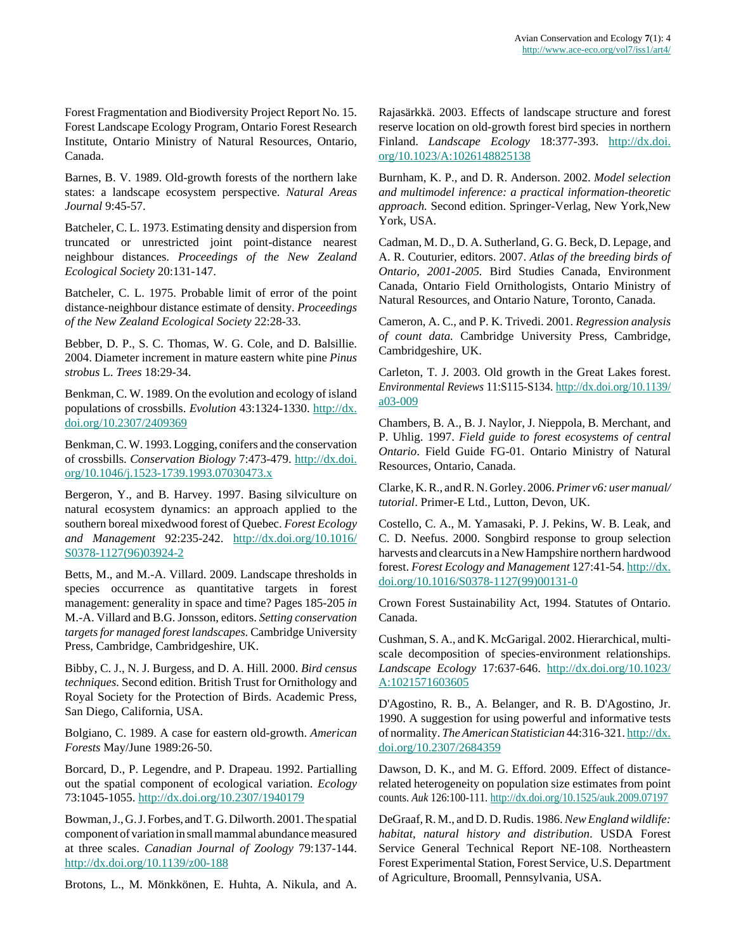Forest Fragmentation and Biodiversity Project Report No. 15. Forest Landscape Ecology Program, Ontario Forest Research Institute, Ontario Ministry of Natural Resources, Ontario, Canada.

Barnes, B. V. 1989. Old-growth forests of the northern lake states: a landscape ecosystem perspective. *Natural Areas Journal* 9:45-57.

Batcheler, C. L. 1973. Estimating density and dispersion from truncated or unrestricted joint point-distance nearest neighbour distances. *Proceedings of the New Zealand Ecological Society* 20:131-147.

Batcheler, C. L. 1975. Probable limit of error of the point distance-neighbour distance estimate of density. *Proceedings of the New Zealand Ecological Society* 22:28-33.

Bebber, D. P., S. C. Thomas, W. G. Cole, and D. Balsillie. 2004. Diameter increment in mature eastern white pine *Pinus strobus* L. *Trees* 18:29-34.

Benkman, C. W. 1989. On the evolution and ecology of island populations of crossbills. *Evolution* 43:1324-1330. [http://dx.](http://dx.doi.org/10.2307/2409369) [doi.org/10.2307/2409369](http://dx.doi.org/10.2307/2409369)

Benkman, C. W. 1993. Logging, conifers and the conservation of crossbills. *Conservation Biology* 7:473-479. [http://dx.doi.](http://dx.doi.org/10.1046/j.1523-1739.1993.07030473.x) [org/10.1046/j.1523-1739.1993.07030473.x](http://dx.doi.org/10.1046/j.1523-1739.1993.07030473.x)

Bergeron, Y., and B. Harvey. 1997. Basing silviculture on natural ecosystem dynamics: an approach applied to the southern boreal mixedwood forest of Quebec. *Forest Ecology and Management* 92:235-242. [http://dx.doi.org/10.1016/](http://dx.doi.org/10.1016/S0378-1127(96)03924-2) [S0378-1127\(96\)03924-2](http://dx.doi.org/10.1016/S0378-1127(96)03924-2)

Betts, M., and M.-A. Villard. 2009. Landscape thresholds in species occurrence as quantitative targets in forest management: generality in space and time? Pages 185-205 *in* M.-A. Villard and B.G. Jonsson, editors. *Setting conservation targets for managed forest landscapes.* Cambridge University Press, Cambridge, Cambridgeshire, UK.

Bibby, C. J., N. J. Burgess, and D. A. Hill. 2000. *Bird census techniques.* Second edition. British Trust for Ornithology and Royal Society for the Protection of Birds. Academic Press, San Diego, California, USA.

Bolgiano, C. 1989. A case for eastern old-growth. *American Forests* May/June 1989:26-50.

Borcard, D., P. Legendre, and P. Drapeau. 1992. Partialling out the spatial component of ecological variation. *Ecology* 73:1045-1055.<http://dx.doi.org/10.2307/1940179>

Bowman, J., G. J. Forbes, and T. G. Dilworth. 2001. The spatial component of variation in small mammal abundance measured at three scales. *Canadian Journal of Zoology* 79:137-144. <http://dx.doi.org/10.1139/z00-188>

Brotons, L., M. Mönkkönen, E. Huhta, A. Nikula, and A.

Rajasärkkä. 2003. Effects of landscape structure and forest reserve location on old-growth forest bird species in northern Finland. *Landscape Ecology* 18:377-393. [http://dx.doi.](http://dx.doi.org/10.1023/A:1026148825138) [org/10.1023/A:1026148825138](http://dx.doi.org/10.1023/A:1026148825138)

Burnham, K. P., and D. R. Anderson. 2002. *Model selection and multimodel inference: a practical information-theoretic approach.* Second edition. Springer-Verlag, New York,New York, USA.

Cadman, M. D., D. A. Sutherland, G. G. Beck, D. Lepage, and A. R. Couturier, editors. 2007. *Atlas of the breeding birds of Ontario, 2001-2005.* Bird Studies Canada, Environment Canada, Ontario Field Ornithologists, Ontario Ministry of Natural Resources, and Ontario Nature, Toronto, Canada.

Cameron, A. C., and P. K. Trivedi. 2001. *Regression analysis of count data.* Cambridge University Press, Cambridge, Cambridgeshire, UK.

Carleton, T. J. 2003. Old growth in the Great Lakes forest. *Environmental Reviews* 11:S115-S134. [http://dx.doi.org/10.1139/](http://dx.doi.org/10.1139/a03-009) [a03-009](http://dx.doi.org/10.1139/a03-009)

Chambers, B. A., B. J. Naylor, J. Nieppola, B. Merchant, and P. Uhlig. 1997. *Field guide to forest ecosystems of central Ontario*. Field Guide FG-01. Ontario Ministry of Natural Resources, Ontario, Canada.

Clarke, K. R., and R. N. Gorley. 2006. *Primer v6: user manual/ tutorial*. Primer-E Ltd., Lutton, Devon, UK.

Costello, C. A., M. Yamasaki, P. J. Pekins, W. B. Leak, and C. D. Neefus. 2000. Songbird response to group selection harvests and clearcuts in a New Hampshire northern hardwood forest. *Forest Ecology and Management* 127:41-54. [http://dx.](http://dx.doi.org/10.1016/S0378-1127(99)00131-0) [doi.org/10.1016/S0378-1127\(99\)00131-0](http://dx.doi.org/10.1016/S0378-1127(99)00131-0)

Crown Forest Sustainability Act, 1994. Statutes of Ontario. Canada.

Cushman, S. A., and K. McGarigal. 2002. Hierarchical, multiscale decomposition of species-environment relationships. *Landscape Ecology* 17:637-646. [http://dx.doi.org/10.1023/](http://dx.doi.org/10.1023/A:1021571603605) [A:1021571603605](http://dx.doi.org/10.1023/A:1021571603605)

D'Agostino, R. B., A. Belanger, and R. B. D'Agostino, Jr. 1990. A suggestion for using powerful and informative tests of normality. *The American Statistician* 44:316-321. [http://dx.](http://dx.doi.org/10.2307/2684359) [doi.org/10.2307/2684359](http://dx.doi.org/10.2307/2684359)

Dawson, D. K., and M. G. Efford. 2009. Effect of distancerelated heterogeneity on population size estimates from point counts. *Auk* 126:100-111. <http://dx.doi.org/10.1525/auk.2009.07197>

DeGraaf, R. M., and D. D. Rudis. 1986. *New England wildlife: habitat, natural history and distribution*. USDA Forest Service General Technical Report NE-108. Northeastern Forest Experimental Station, Forest Service, U.S. Department of Agriculture, Broomall, Pennsylvania, USA.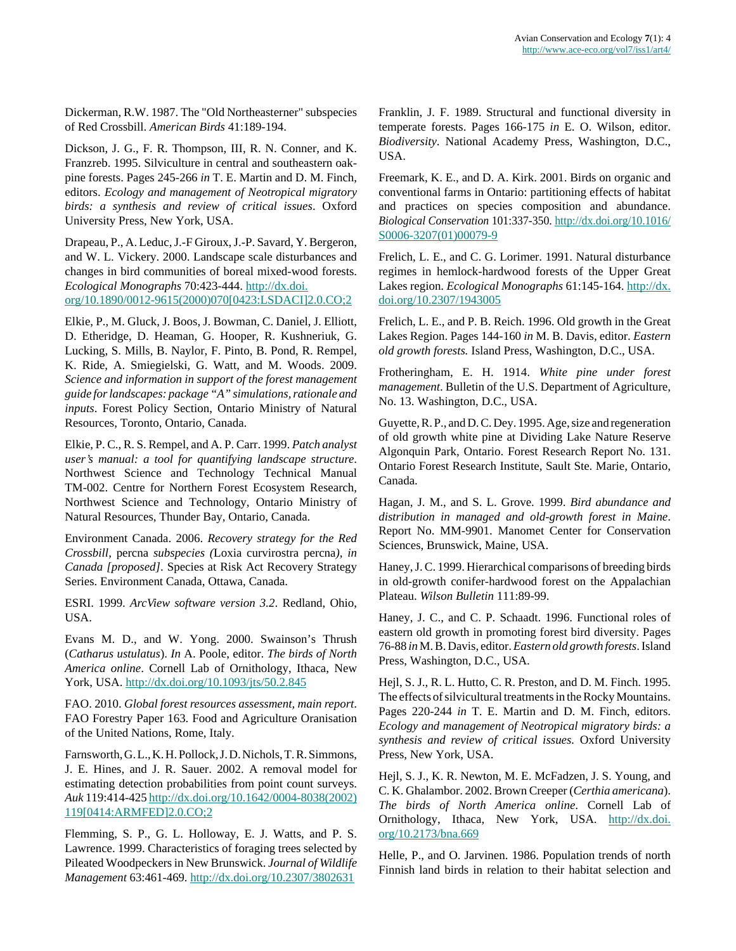Dickerman, R.W. 1987. The "Old Northeasterner" subspecies of Red Crossbill. *American Birds* 41:189-194.

Dickson, J. G., F. R. Thompson, III, R. N. Conner, and K. Franzreb. 1995. Silviculture in central and southeastern oakpine forests. Pages 245-266 *in* T. E. Martin and D. M. Finch, editors. *Ecology and management of Neotropical migratory birds: a synthesis and review of critical issues*. Oxford University Press, New York, USA.

Drapeau, P., A. Leduc, J.-F Giroux, J.-P. Savard, Y. Bergeron, and W. L. Vickery. 2000. Landscape scale disturbances and changes in bird communities of boreal mixed-wood forests. *Ecological Monographs* 70:423-444. [http://dx.doi.](http://dx.doi.org/10.1890/0012-9615(2000)070[0423:LSDACI]2.0.CO;2) [org/10.1890/0012-9615\(2000\)070\[0423:LSDACI\]2.0.CO;2](http://dx.doi.org/10.1890/0012-9615(2000)070[0423:LSDACI]2.0.CO;2)

Elkie, P., M. Gluck, J. Boos, J. Bowman, C. Daniel, J. Elliott, D. Etheridge, D. Heaman, G. Hooper, R. Kushneriuk, G. Lucking, S. Mills, B. Naylor, F. Pinto, B. Pond, R. Rempel, K. Ride, A. Smiegielski, G. Watt, and M. Woods. 2009. *Science and information in support of the forest management guide for landscapes: package "A" simulations, rationale and inputs*. Forest Policy Section, Ontario Ministry of Natural Resources, Toronto, Ontario, Canada.

Elkie, P. C., R. S. Rempel, and A. P. Carr. 1999. *Patch analyst user's manual: a tool for quantifying landscape structure*. Northwest Science and Technology Technical Manual TM-002. Centre for Northern Forest Ecosystem Research, Northwest Science and Technology, Ontario Ministry of Natural Resources, Thunder Bay, Ontario, Canada.

Environment Canada. 2006. *Recovery strategy for the Red Crossbill,* percna *subspecies (*Loxia curvirostra percna*), in Canada [proposed]*. Species at Risk Act Recovery Strategy Series. Environment Canada, Ottawa, Canada.

ESRI. 1999. *ArcView software version 3.2*. Redland, Ohio, USA.

Evans M. D., and W. Yong. 2000. Swainson's Thrush (*Catharus ustulatus*). *In* A. Poole, editor. *The birds of North America online*. Cornell Lab of Ornithology, Ithaca, New York, USA. <http://dx.doi.org/10.1093/jts/50.2.845>

FAO. 2010. *Global forest resources assessment, main report*. FAO Forestry Paper 163. Food and Agriculture Oranisation of the United Nations, Rome, Italy.

Farnsworth, G. L., K. H. Pollock, J. D. Nichols, T. R. Simmons, J. E. Hines, and J. R. Sauer. 2002. A removal model for estimating detection probabilities from point count surveys. *Auk* 119:414-425 [http://dx.doi.org/10.1642/0004-8038\(2002\)](http://dx.doi.org/10.1642/0004-8038(2002)119[0414:ARMFED]2.0.CO;2) [119\[0414:ARMFED\]2.0.CO;2](http://dx.doi.org/10.1642/0004-8038(2002)119[0414:ARMFED]2.0.CO;2)

Flemming, S. P., G. L. Holloway, E. J. Watts, and P. S. Lawrence. 1999. Characteristics of foraging trees selected by Pileated Woodpeckers in New Brunswick. *Journal of Wildlife Management* 63:461-469.<http://dx.doi.org/10.2307/3802631>

Franklin, J. F. 1989. Structural and functional diversity in temperate forests. Pages 166-175 *in* E. O. Wilson, editor. *Biodiversity*. National Academy Press, Washington, D.C., USA.

Freemark, K. E., and D. A. Kirk. 2001. Birds on organic and conventional farms in Ontario: partitioning effects of habitat and practices on species composition and abundance. *Biological Conservation* 101:337-350. [http://dx.doi.org/10.1016/](http://dx.doi.org/10.1016/S0006-3207(01)00079-9) [S0006-3207\(01\)00079-9](http://dx.doi.org/10.1016/S0006-3207(01)00079-9)

Frelich, L. E., and C. G. Lorimer. 1991. Natural disturbance regimes in hemlock-hardwood forests of the Upper Great Lakes region. *Ecological Monographs* 61:145-164. [http://dx.](http://dx.doi.org/10.2307/1943005) [doi.org/10.2307/1943005](http://dx.doi.org/10.2307/1943005)

Frelich, L. E., and P. B. Reich. 1996. Old growth in the Great Lakes Region. Pages 144-160 *in* M. B. Davis, editor. *Eastern old growth forests.* Island Press, Washington, D.C., USA.

Frotheringham, E. H. 1914. *White pine under forest management*. Bulletin of the U.S. Department of Agriculture, No. 13. Washington, D.C., USA.

Guyette, R. P., and D. C. Dey. 1995. Age, size and regeneration of old growth white pine at Dividing Lake Nature Reserve Algonquin Park, Ontario. Forest Research Report No. 131. Ontario Forest Research Institute, Sault Ste. Marie, Ontario, Canada.

Hagan, J. M., and S. L. Grove. 1999. *Bird abundance and distribution in managed and old-growth forest in Maine*. Report No. MM-9901. Manomet Center for Conservation Sciences, Brunswick, Maine, USA.

Haney, J. C. 1999. Hierarchical comparisons of breeding birds in old-growth conifer-hardwood forest on the Appalachian Plateau. *Wilson Bulletin* 111:89-99.

Haney, J. C., and C. P. Schaadt. 1996. Functional roles of eastern old growth in promoting forest bird diversity. Pages 76-88 *in* M. B. Davis, editor. *Eastern old growth forests*. Island Press, Washington, D.C., USA.

Hejl, S. J., R. L. Hutto, C. R. Preston, and D. M. Finch. 1995. The effects of silvicultural treatments in the Rocky Mountains. Pages 220-244 *in* T. E. Martin and D. M. Finch, editors. *Ecology and management of Neotropical migratory birds: a synthesis and review of critical issues.* Oxford University Press, New York, USA.

Hejl, S. J., K. R. Newton, M. E. McFadzen, J. S. Young, and C. K. Ghalambor. 2002. Brown Creeper (*Certhia americana*). *The birds of North America online*. Cornell Lab of Ornithology, Ithaca, New York, USA. [http://dx.doi.](http://dx.doi.org/10.2173/bna.669) [org/10.2173/bna.669](http://dx.doi.org/10.2173/bna.669)

Helle, P., and O. Jarvinen. 1986. Population trends of north Finnish land birds in relation to their habitat selection and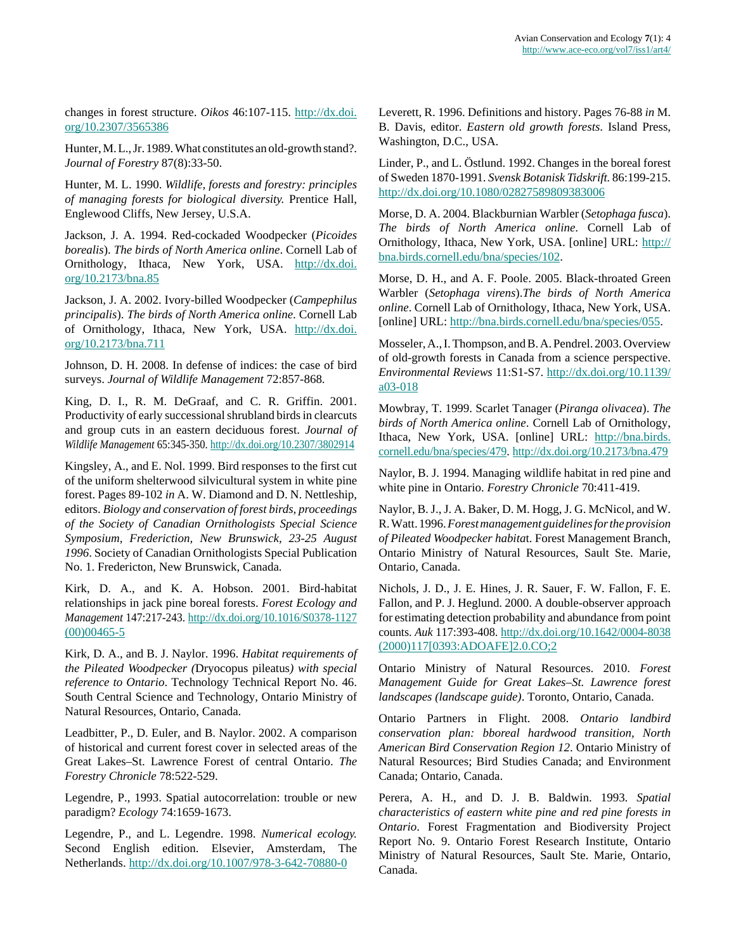changes in forest structure. *Oikos* 46:107-115. [http://dx.doi.](http://dx.doi.org/10.2307/3565386) [org/10.2307/3565386](http://dx.doi.org/10.2307/3565386)

Hunter, M. L., Jr. 1989. What constitutes an old-growth stand?. *Journal of Forestry* 87(8):33-50.

Hunter, M. L. 1990. *Wildlife, forests and forestry: principles of managing forests for biological diversity.* Prentice Hall, Englewood Cliffs, New Jersey, U.S.A.

Jackson, J. A. 1994. Red-cockaded Woodpecker (*Picoides borealis*). *The birds of North America online*. Cornell Lab of Ornithology, Ithaca, New York, USA. [http://dx.doi.](http://dx.doi.org/10.2173/bna.85) [org/10.2173/bna.85](http://dx.doi.org/10.2173/bna.85)

Jackson, J. A. 2002. Ivory-billed Woodpecker (*Campephilus principalis*). *The birds of North America online*. Cornell Lab of Ornithology, Ithaca, New York, USA. [http://dx.doi.](http://dx.doi.org/10.2173/bna.711) [org/10.2173/bna.711](http://dx.doi.org/10.2173/bna.711)

Johnson, D. H. 2008. In defense of indices: the case of bird surveys. *Journal of Wildlife Management* 72:857-868.

King, D. I., R. M. DeGraaf, and C. R. Griffin. 2001. Productivity of early successional shrubland birds in clearcuts and group cuts in an eastern deciduous forest. *Journal of Wildlife Management* 65:345-350.<http://dx.doi.org/10.2307/3802914>

Kingsley, A., and E. Nol. 1999. Bird responses to the first cut of the uniform shelterwood silvicultural system in white pine forest. Pages 89-102 *in* A. W. Diamond and D. N. Nettleship, editors. *Biology and conservation of forest birds, proceedings of the Society of Canadian Ornithologists Special Science Symposium, Frederiction, New Brunswick, 23-25 August 1996*. Society of Canadian Ornithologists Special Publication No. 1. Fredericton, New Brunswick, Canada.

Kirk, D. A., and K. A. Hobson. 2001. Bird-habitat relationships in jack pine boreal forests. *Forest Ecology and Management* 147:217-243. [http://dx.doi.org/10.1016/S0378-1127](http://dx.doi.org/10.1016/S0378-1127(00)00465-5)  $(00)00465 - 5$ 

Kirk, D. A., and B. J. Naylor. 1996. *Habitat requirements of the Pileated Woodpecker (*Dryocopus pileatus*) with special reference to Ontario*. Technology Technical Report No. 46. South Central Science and Technology, Ontario Ministry of Natural Resources, Ontario, Canada.

Leadbitter, P., D. Euler, and B. Naylor. 2002. A comparison of historical and current forest cover in selected areas of the Great Lakes–St. Lawrence Forest of central Ontario. *The Forestry Chronicle* 78:522-529.

Legendre, P., 1993. Spatial autocorrelation: trouble or new paradigm? *Ecology* 74:1659-1673.

Legendre, P., and L. Legendre. 1998. *Numerical ecology.* Second English edition. Elsevier, Amsterdam, The Netherlands.<http://dx.doi.org/10.1007/978-3-642-70880-0>

Leverett, R. 1996. Definitions and history. Pages 76-88 *in* M. B. Davis, editor. *Eastern old growth forests*. Island Press, Washington, D.C., USA.

Linder, P., and L. Östlund. 1992. Changes in the boreal forest of Sweden 1870-1991. *Svensk Botanisk Tidskrift.* 86:199-215. <http://dx.doi.org/10.1080/02827589809383006>

Morse, D. A. 2004. Blackburnian Warbler (*Setophaga fusca*). *The birds of North America online*. Cornell Lab of Ornithology, Ithaca, New York, USA. [online] URL: [http://](http://bna.birds.cornell.edu/bna/species/102) [bna.birds.cornell.edu/bna/species/102.](http://bna.birds.cornell.edu/bna/species/102)

Morse, D. H., and A. F. Poole. 2005. Black-throated Green Warbler (*Setophaga virens*).*The birds of North America online*. Cornell Lab of Ornithology, Ithaca, New York, USA. [online] URL:<http://bna.birds.cornell.edu/bna/species/055>.

Mosseler, A., I. Thompson, and B. A. Pendrel. 2003. Overview of old-growth forests in Canada from a science perspective. *Environmental Reviews* 11:S1-S7. [http://dx.doi.org/10.1139/](http://dx.doi.org/10.1139/a03-018) [a03-018](http://dx.doi.org/10.1139/a03-018)

Mowbray, T. 1999. Scarlet Tanager (*Piranga olivacea*). *The birds of North America online*. Cornell Lab of Ornithology, Ithaca, New York, USA. [online] URL: [http://bna.birds.](http://bna.birds.cornell.edu/bna/species/479) [cornell.edu/bna/species/479.](http://bna.birds.cornell.edu/bna/species/479)<http://dx.doi.org/10.2173/bna.479>

Naylor, B. J. 1994. Managing wildlife habitat in red pine and white pine in Ontario. *Forestry Chronicle* 70:411-419.

Naylor, B. J., J. A. Baker, D. M. Hogg, J. G. McNicol, and W. R. Watt. 1996. *Forest management guidelines for the provision of Pileated Woodpecker habita*t. Forest Management Branch, Ontario Ministry of Natural Resources, Sault Ste. Marie, Ontario, Canada.

Nichols, J. D., J. E. Hines, J. R. Sauer, F. W. Fallon, F. E. Fallon, and P. J. Heglund. 2000. A double-observer approach for estimating detection probability and abundance from point counts. *Auk* 117:393-408. [http://dx.doi.org/10.1642/0004-8038](http://dx.doi.org/10.1642/0004-8038(2000)117[0393:ADOAFE]2.0.CO;2) [\(2000\)117\[0393:ADOAFE\]2.0.CO;2](http://dx.doi.org/10.1642/0004-8038(2000)117[0393:ADOAFE]2.0.CO;2)

Ontario Ministry of Natural Resources. 2010. *Forest Management Guide for Great Lakes–St. Lawrence forest landscapes (landscape guide)*. Toronto, Ontario, Canada.

Ontario Partners in Flight. 2008. *Ontario landbird conservation plan: bboreal hardwood transition, North American Bird Conservation Region 12*. Ontario Ministry of Natural Resources; Bird Studies Canada; and Environment Canada; Ontario, Canada.

Perera, A. H., and D. J. B. Baldwin. 1993. *Spatial characteristics of eastern white pine and red pine forests in Ontario*. Forest Fragmentation and Biodiversity Project Report No. 9. Ontario Forest Research Institute, Ontario Ministry of Natural Resources, Sault Ste. Marie, Ontario, Canada.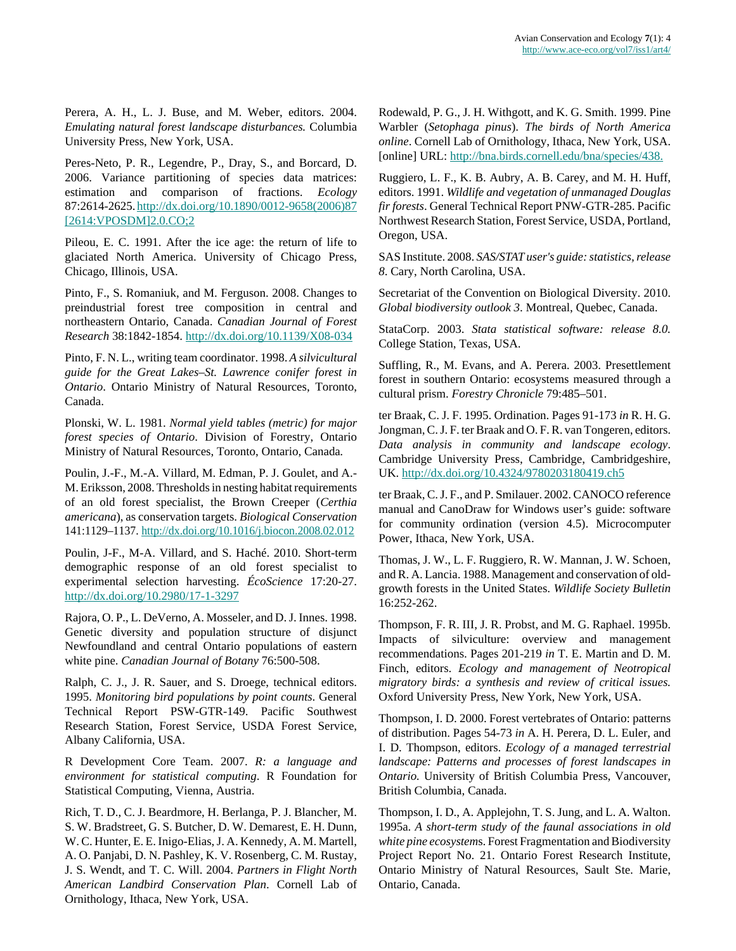Perera, A. H., L. J. Buse, and M. Weber, editors. 2004. *Emulating natural forest landscape disturbances.* Columbia University Press, New York, USA.

Peres-Neto, P. R., Legendre, P., Dray, S., and Borcard, D. 2006. Variance partitioning of species data matrices: estimation and comparison of fractions. *Ecology* 87:2614-2625. [http://dx.doi.org/10.1890/0012-9658\(2006\)87](http://dx.doi.org/10.1890/0012-9658(2006)87[2614:VPOSDM]2.0.CO;2) [\[2614:VPOSDM\]2.0.CO;2](http://dx.doi.org/10.1890/0012-9658(2006)87[2614:VPOSDM]2.0.CO;2)

Pileou, E. C. 1991. After the ice age: the return of life to glaciated North America. University of Chicago Press, Chicago, Illinois, USA.

Pinto, F., S. Romaniuk, and M. Ferguson. 2008. Changes to preindustrial forest tree composition in central and northeastern Ontario, Canada. *Canadian Journal of Forest Research* 38:1842-1854.<http://dx.doi.org/10.1139/X08-034>

Pinto, F. N. L., writing team coordinator. 1998. *A silvicultural guide for the Great Lakes–St. Lawrence conifer forest in Ontario*. Ontario Ministry of Natural Resources, Toronto, Canada.

Plonski, W. L. 1981. *Normal yield tables (metric) for major forest species of Ontario*. Division of Forestry, Ontario Ministry of Natural Resources, Toronto, Ontario, Canada*.*

Poulin, J.-F., M.-A. Villard, M. Edman, P. J. Goulet, and A.- M. Eriksson, 2008. Thresholds in nesting habitat requirements of an old forest specialist, the Brown Creeper (*Certhia americana*), as conservation targets. *Biological Conservation* 141:1129–1137. <http://dx.doi.org/10.1016/j.biocon.2008.02.012>

Poulin, J-F., M-A. Villard, and S. Haché. 2010. Short-term demographic response of an old forest specialist to experimental selection harvesting. *ÉcoScience* 17:20-27. <http://dx.doi.org/10.2980/17-1-3297>

Rajora, O. P., L. DeVerno, A. Mosseler, and D. J. Innes. 1998. Genetic diversity and population structure of disjunct Newfoundland and central Ontario populations of eastern white pine. *Canadian Journal of Botany* 76:500-508.

Ralph, C. J., J. R. Sauer, and S. Droege, technical editors. 1995. *Monitoring bird populations by point counts*. General Technical Report PSW-GTR-149. Pacific Southwest Research Station, Forest Service, USDA Forest Service, Albany California, USA.

R Development Core Team. 2007. *R: a language and environment for statistical computing*. R Foundation for Statistical Computing, Vienna, Austria.

Rich, T. D., C. J. Beardmore, H. Berlanga, P. J. Blancher, M. S. W. Bradstreet, G. S. Butcher, D. W. Demarest, E. H. Dunn, W. C. Hunter, E. E. Inigo-Elias, J. A. Kennedy, A. M. Martell, A. O. Panjabi, D. N. Pashley, K. V. Rosenberg, C. M. Rustay, J. S. Wendt, and T. C. Will. 2004. *Partners in Flight North American Landbird Conservation Plan*. Cornell Lab of Ornithology, Ithaca, New York, USA.

Rodewald, P. G., J. H. Withgott, and K. G. Smith. 1999. Pine Warbler (*Setophaga pinus*). *The birds of North America online*. Cornell Lab of Ornithology, Ithaca, New York, USA. [online] URL: [http://bna.birds.cornell.edu/bna/species/438.](http://bna.birds.cornell.edu/bna/species/438)

Ruggiero, L. F., K. B. Aubry, A. B. Carey, and M. H. Huff, editors. 1991. *Wildlife and vegetation of unmanaged Douglas fir forests*. General Technical Report PNW-GTR-285. Pacific Northwest Research Station, Forest Service, USDA, Portland, Oregon, USA.

SAS Institute. 2008. *SAS/STAT user's guide: statistics, release 8*. Cary, North Carolina, USA.

Secretariat of the Convention on Biological Diversity. 2010. *Global biodiversity outlook 3*. Montreal, Quebec, Canada.

StataCorp. 2003. *Stata statistical software: release 8.0.* College Station, Texas, USA.

Suffling, R., M. Evans, and A. Perera. 2003. Presettlement forest in southern Ontario: ecosystems measured through a cultural prism. *Forestry Chronicle* 79:485–501.

ter Braak, C. J. F. 1995. Ordination. Pages 91-173 *in* R. H. G. Jongman, C. J. F. ter Braak and O. F. R. van Tongeren, editors. *Data analysis in community and landscape ecology*. Cambridge University Press, Cambridge, Cambridgeshire, UK.<http://dx.doi.org/10.4324/9780203180419.ch5>

ter Braak, C. J. F., and P. Smilauer. 2002. CANOCO reference manual and CanoDraw for Windows user's guide: software for community ordination (version 4.5). Microcomputer Power, Ithaca, New York, USA.

Thomas, J. W., L. F. Ruggiero, R. W. Mannan, J. W. Schoen, and R. A. Lancia. 1988. Management and conservation of oldgrowth forests in the United States. *Wildlife Society Bulletin* 16:252-262.

Thompson, F. R. III, J. R. Probst, and M. G. Raphael. 1995b. Impacts of silviculture: overview and management recommendations. Pages 201-219 *in* T. E. Martin and D. M. Finch, editors. *Ecology and management of Neotropical migratory birds: a synthesis and review of critical issues.* Oxford University Press, New York, New York, USA.

Thompson, I. D. 2000. Forest vertebrates of Ontario: patterns of distribution. Pages 54-73 *in* A. H. Perera, D. L. Euler, and I. D. Thompson, editors. *Ecology of a managed terrestrial landscape: Patterns and processes of forest landscapes in Ontario.* University of British Columbia Press, Vancouver, British Columbia, Canada.

Thompson, I. D., A. Applejohn, T. S. Jung, and L. A. Walton. 1995a. *A short-term study of the faunal associations in old white pine ecosystem*s. Forest Fragmentation and Biodiversity Project Report No. 21. Ontario Forest Research Institute, Ontario Ministry of Natural Resources, Sault Ste. Marie, Ontario, Canada.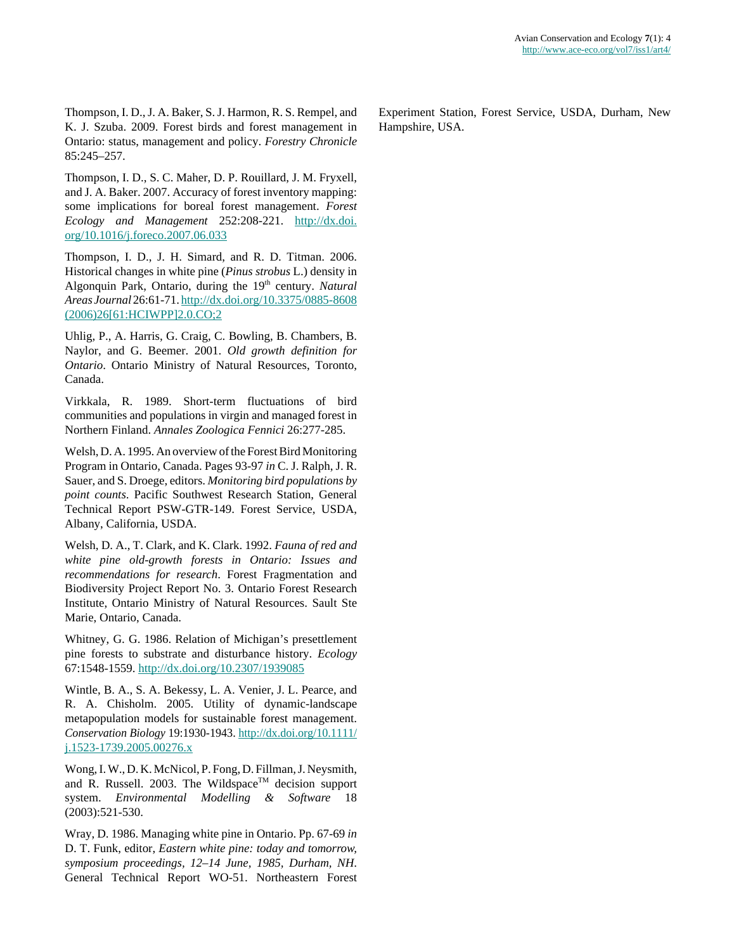Thompson, I. D., J. A. Baker, S. J. Harmon, R. S. Rempel, and K. J. Szuba. 2009. Forest birds and forest management in Ontario: status, management and policy. *Forestry Chronicle* 85:245–257.

Thompson, I. D., S. C. Maher, D. P. Rouillard, J. M. Fryxell, and J. A. Baker. 2007. Accuracy of forest inventory mapping: some implications for boreal forest management. *Forest Ecology and Management* 252:208-221. [http://dx.doi.](http://dx.doi.org/10.1016/j.foreco.2007.06.033) [org/10.1016/j.foreco.2007.06.033](http://dx.doi.org/10.1016/j.foreco.2007.06.033)

Thompson, I. D., J. H. Simard, and R. D. Titman. 2006. Historical changes in white pine (*Pinus strobus* L.) density in Algonquin Park, Ontario, during the 19<sup>th</sup> century. *Natural Areas Journal* 26:61-71. [http://dx.doi.org/10.3375/0885-8608](http://dx.doi.org/10.3375/0885-8608(2006)26[61:HCIWPP]2.0.CO;2) [\(2006\)26\[61:HCIWPP\]2.0.CO;2](http://dx.doi.org/10.3375/0885-8608(2006)26[61:HCIWPP]2.0.CO;2)

Uhlig, P., A. Harris, G. Craig, C. Bowling, B. Chambers, B. Naylor, and G. Beemer. 2001. *Old growth definition for Ontario*. Ontario Ministry of Natural Resources, Toronto, Canada.

Virkkala, R. 1989. Short-term fluctuations of bird communities and populations in virgin and managed forest in Northern Finland. *Annales Zoologica Fennici* 26:277-285.

Welsh, D. A. 1995. An overview of the Forest Bird Monitoring Program in Ontario, Canada. Pages 93-97 *in* C. J. Ralph, J. R. Sauer, and S. Droege, editors. *Monitoring bird populations by point counts*. Pacific Southwest Research Station, General Technical Report PSW-GTR-149. Forest Service, USDA, Albany, California, USDA.

Welsh, D. A., T. Clark, and K. Clark. 1992. *Fauna of red and white pine old-growth forests in Ontario: Issues and recommendations for research*. Forest Fragmentation and Biodiversity Project Report No. 3. Ontario Forest Research Institute, Ontario Ministry of Natural Resources. Sault Ste Marie, Ontario, Canada.

Whitney, G. G. 1986. Relation of Michigan's presettlement pine forests to substrate and disturbance history. *Ecology* 67:1548-1559.<http://dx.doi.org/10.2307/1939085>

Wintle, B. A., S. A. Bekessy, L. A. Venier, J. L. Pearce, and R. A. Chisholm. 2005. Utility of dynamic-landscape metapopulation models for sustainable forest management. *Conservation Biology* 19:1930-1943. [http://dx.doi.org/10.1111/](http://dx.doi.org/10.1111/j.1523-1739.2005.00276.x) [j.1523-1739.2005.00276.x](http://dx.doi.org/10.1111/j.1523-1739.2005.00276.x)

Wong, I. W., D. K. McNicol, P. Fong, D. Fillman, J. Neysmith, and R. Russell. 2003. The Wildspace™ decision support system. *Environmental Modelling & Software* 18 (2003):521-530.

Wray, D. 1986. Managing white pine in Ontario. Pp. 67-69 *in* D. T. Funk, editor, *Eastern white pine: today and tomorrow, symposium proceedings, 12–14 June, 1985, Durham, NH*. General Technical Report WO-51. Northeastern Forest Experiment Station, Forest Service, USDA, Durham, New Hampshire, USA.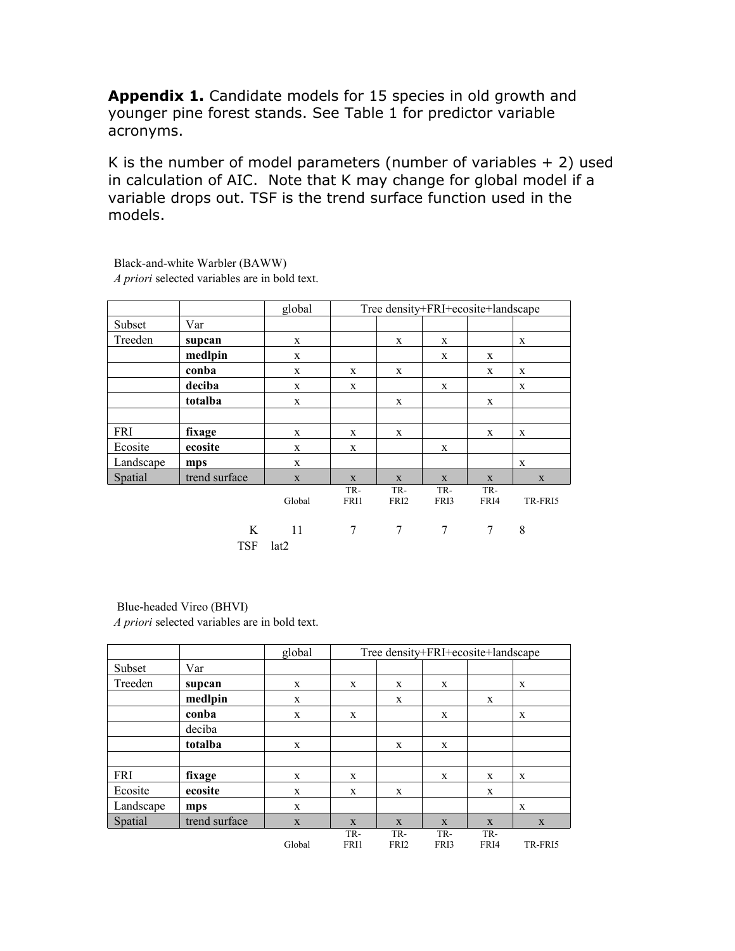**Appendix 1.** Candidate models for 15 species in old growth and younger pine forest stands. See Table 1 for predictor variable acronyms.

K is the number of model parameters (number of variables  $+2$ ) used in calculation of AIC. Note that K may change for global model if a variable drops out. TSF is the trend surface function used in the models.

|           |                 | global      |             | Tree density+FRI+ecosite+landscape |             |             |         |
|-----------|-----------------|-------------|-------------|------------------------------------|-------------|-------------|---------|
| Subset    | Var             |             |             |                                    |             |             |         |
| Treeden   | supcan          | X           |             | X                                  | X           |             | X       |
|           | medlpin         | X           |             |                                    | X           | X           |         |
|           | conba           | X           | X           | X                                  |             | X           | X       |
|           | deciba          | X           | X           |                                    | X           |             | X       |
|           | totalba         | X           |             | X                                  |             | X           |         |
|           |                 |             |             |                                    |             |             |         |
| FRI       | fixage          | X           | X           | X                                  |             | X           | X       |
| Ecosite   | ecosite         | X           | X           |                                    | X           |             |         |
| Landscape | mps             | X           |             |                                    |             |             | X       |
| Spatial   | trend surface   | $\mathbf X$ | X           | X                                  | X           | X           | X       |
|           |                 | Global      | TR-<br>FRI1 | TR-<br>FRI <sub>2</sub>            | TR-<br>FRI3 | TR-<br>FRI4 | TR-FRI5 |
|           | K<br><b>TSF</b> | -11<br>lat2 | 7           | 7                                  | 7           | 7           | 8       |

Black-and-white Warbler (BAWW) *A priori* selected variables are in bold text.

# Blue-headed Vireo (BHVI)

|            |               | global |             | Tree density+FRI+ecosite+landscape |             |             |         |
|------------|---------------|--------|-------------|------------------------------------|-------------|-------------|---------|
| Subset     | Var           |        |             |                                    |             |             |         |
| Treeden    | supcan        | X      | X           | X                                  | X           |             | X       |
|            | medlpin       | X      |             | X                                  |             | X           |         |
|            | conba         | X      | X           |                                    | X           |             | X       |
|            | deciba        |        |             |                                    |             |             |         |
|            | totalba       | X      |             | $\mathbf{x}$                       | X           |             |         |
|            |               |        |             |                                    |             |             |         |
| <b>FRI</b> | fixage        | X      | X           |                                    | X           | X           | X       |
| Ecosite    | ecosite       | X      | X           | X                                  |             | X           |         |
| Landscape  | mps           | X      |             |                                    |             |             | X       |
| Spatial    | trend surface | X      | X           | $\mathbf{x}$                       | X           | X           | X       |
|            |               | Global | TR-<br>FRI1 | TR-<br>FRI <sub>2</sub>            | TR-<br>FRI3 | TR-<br>FRI4 | TR-FRI5 |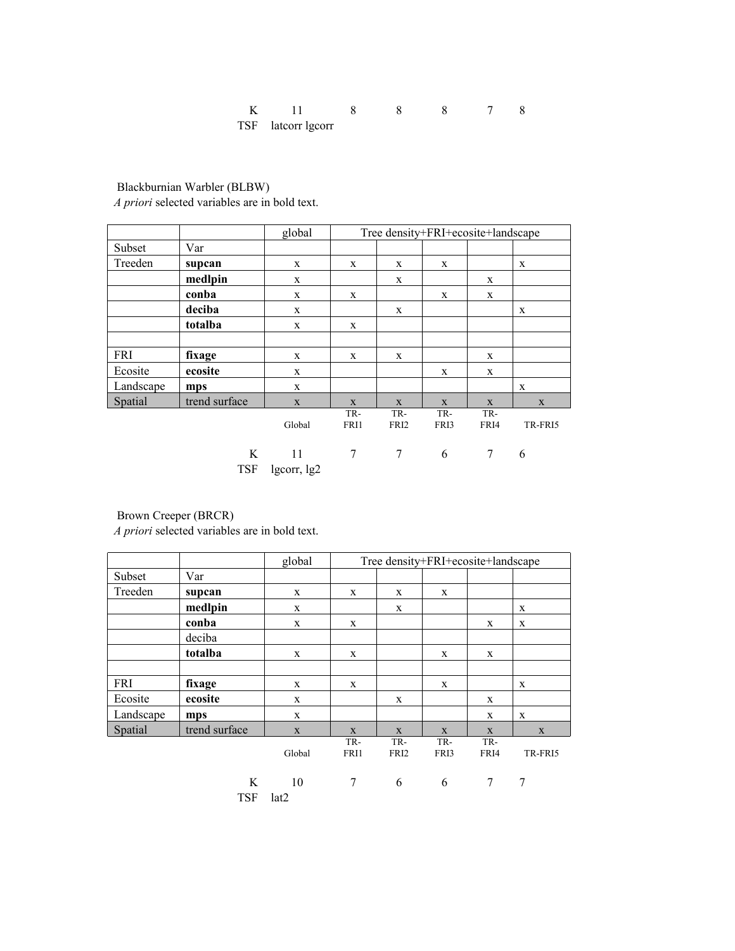| TSF latcorr lgcorr |  |  |  |
|--------------------|--|--|--|

 Blackburnian Warbler (BLBW) *A priori* selected variables are in bold text.

|            |               | global      |             | Tree density+FRI+ecosite+landscape |              |             |              |
|------------|---------------|-------------|-------------|------------------------------------|--------------|-------------|--------------|
| Subset     | Var           |             |             |                                    |              |             |              |
| Treeden    | supcan        | X           | X           | X                                  | X            |             | X            |
|            | medlpin       | X           |             | X                                  |              | X           |              |
|            | conba         | $\mathbf X$ | X           |                                    | X            | X           |              |
|            | deciba        | X           |             | X                                  |              |             | X            |
|            | totalba       | X           | X           |                                    |              |             |              |
|            |               |             |             |                                    |              |             |              |
| <b>FRI</b> | fixage        | X           | X           | X                                  |              | X           |              |
| Ecosite    | ecosite       | X           |             |                                    | X            | X           |              |
| Landscape  | mps           | X           |             |                                    |              |             | $\mathbf{x}$ |
| Spatial    | trend surface | $\mathbf X$ | X           | X                                  | $\mathbf{X}$ | X           | X            |
|            |               | Global      | TR-<br>FRI1 | TR-<br>FRI <sub>2</sub>            | TR-<br>FRI3  | TR-<br>FRI4 | TR-FRI5      |
|            | K             | 11          | 7           | 7                                  | 6            | 7           | 6            |

TSF lgcorr, lg2

TSF lat2

Brown Creeper (BRCR)

|            |               | global      |             | Tree density+FRI+ecosite+landscape |             |              |         |
|------------|---------------|-------------|-------------|------------------------------------|-------------|--------------|---------|
| Subset     | Var           |             |             |                                    |             |              |         |
| Treeden    | supcan        | X           | X           | X                                  | X           |              |         |
|            | medlpin       | X           |             | X                                  |             |              | X       |
|            | conba         | X           | X           |                                    |             | X            | X       |
|            | deciba        |             |             |                                    |             |              |         |
|            | totalba       | X           | X           |                                    | X           | X            |         |
|            |               |             |             |                                    |             |              |         |
| <b>FRI</b> | fixage        | X           | X           |                                    | X           |              | X       |
| Ecosite    | ecosite       | X           |             | X                                  |             | X            |         |
| Landscape  | mps           | X           |             |                                    |             | X            | X       |
| Spatial    | trend surface | $\mathbf X$ | X           | X                                  | X           | $\mathbf{X}$ | X       |
|            |               | Global      | TR-<br>FRI1 | TR-<br>FRI <sub>2</sub>            | TR-<br>FRI3 | TR-<br>FRI4  | TR-FRI5 |
|            | K             | 10          | 7           | 6                                  | 6           | 7            | 7       |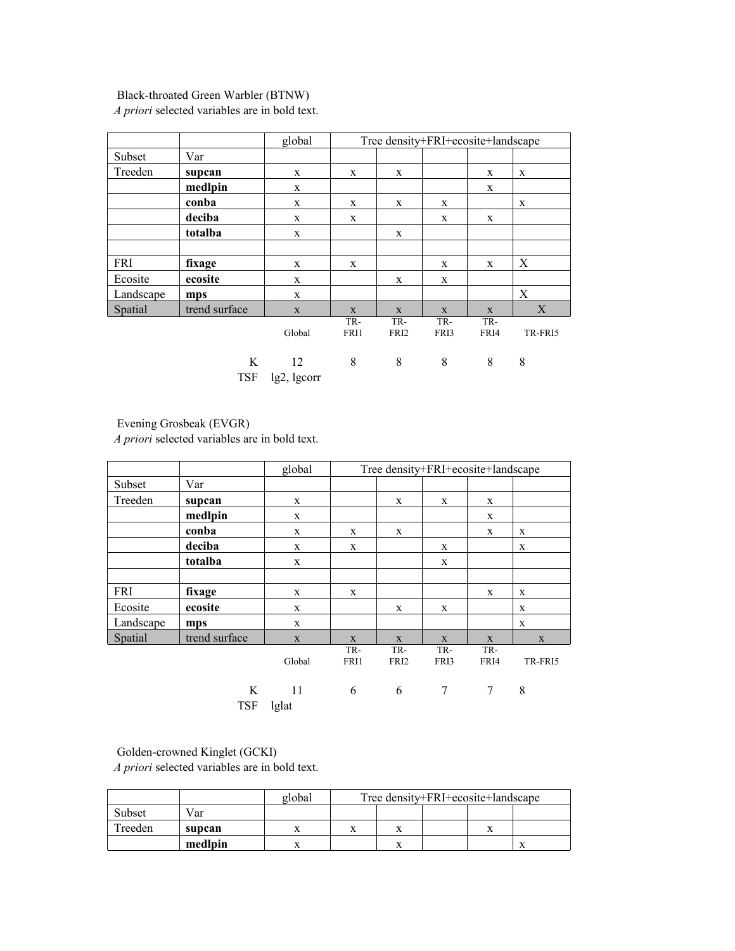# Black-throated Green Warbler (BTNW)

*A priori* selected variables are in bold text.

|           |                 | global            |             | Tree density+FRI+ecosite+landscape |             |             |         |
|-----------|-----------------|-------------------|-------------|------------------------------------|-------------|-------------|---------|
| Subset    | Var             |                   |             |                                    |             |             |         |
| Treeden   | supcan          | X                 | X           | X                                  |             | X           | X       |
|           | medlpin         | X                 |             |                                    |             | $\mathbf X$ |         |
|           | conba           | X                 | X           | X                                  | X           |             | X       |
|           | deciba          | X                 | X           |                                    | X           | X           |         |
|           | totalba         | X                 |             | X                                  |             |             |         |
|           |                 |                   |             |                                    |             |             |         |
| FRI       | fixage          | X                 | X           |                                    | X           | X           | X       |
| Ecosite   | ecosite         | X                 |             | X                                  | X           |             |         |
| Landscape | mps             | X                 |             |                                    |             |             | X       |
| Spatial   | trend surface   | X                 | X           | X                                  | X           | X           | X       |
|           |                 | Global            | TR-<br>FRI1 | TR-<br>FRI <sub>2</sub>            | TR-<br>FRI3 | TR-<br>FRI4 | TR-FRI5 |
|           | K<br><b>TSF</b> | 12<br>lg2, lgcorr | 8           | 8                                  | 8           | 8           | 8       |

# Evening Grosbeak (EVGR)

*A priori* selected variables are in bold text.

|            |                 | global      |             | Tree density+FRI+ecosite+landscape |             |             |             |
|------------|-----------------|-------------|-------------|------------------------------------|-------------|-------------|-------------|
| Subset     | Var             |             |             |                                    |             |             |             |
| Treeden    | supcan          | X           |             | X                                  | X           | X           |             |
|            | medlpin         | X           |             |                                    |             | X           |             |
|            | conba           | X           | X           | X                                  |             | X           | X           |
|            | deciba          | X           | X           |                                    | X           |             | X           |
|            | totalba         | X           |             |                                    | X           |             |             |
|            |                 |             |             |                                    |             |             |             |
| <b>FRI</b> | fixage          | X           | X           |                                    |             | X           | X           |
| Ecosite    | ecosite         | X           |             | X                                  | X           |             | X           |
| Landscape  | mps             | X           |             |                                    |             |             | $\mathbf x$ |
| Spatial    | trend surface   | X           | X           | X                                  | X           | X           | $\mathbf X$ |
|            |                 | Global      | TR-<br>FRI1 | TR-<br>FRI <sub>2</sub>            | TR-<br>FRI3 | TR-<br>FRI4 | TR-FRI5     |
|            | K<br><b>TSF</b> | 11<br>lglat | 6           | 6                                  | 7           | 7           | 8           |

# Golden-crowned Kinglet (GCKI)

|         |         | global | Tree density+FRI+ecosite+landscape |  |  |  |  |  |
|---------|---------|--------|------------------------------------|--|--|--|--|--|
| Subset  | Var     |        |                                    |  |  |  |  |  |
| Treeden | supcan  |        |                                    |  |  |  |  |  |
|         | medlpin |        |                                    |  |  |  |  |  |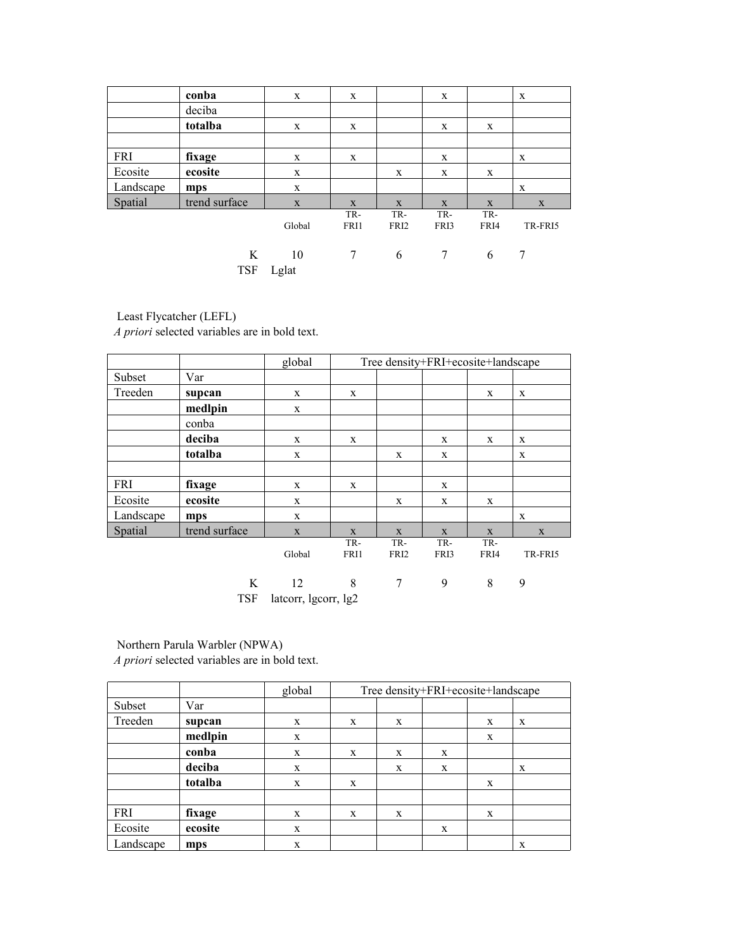|            | conba           | X           | X           |                         | X           |             | $\mathbf{x}$ |
|------------|-----------------|-------------|-------------|-------------------------|-------------|-------------|--------------|
|            | deciba          |             |             |                         |             |             |              |
|            | totalba         | $\mathbf X$ | X           |                         | X           | X           |              |
|            |                 |             |             |                         |             |             |              |
| <b>FRI</b> | fixage          | X           | X           |                         | X           |             | $\mathbf{x}$ |
| Ecosite    | ecosite         | X           |             | X                       | X           | X           |              |
| Landscape  | mps             | $\mathbf X$ |             |                         |             |             | $\mathbf{x}$ |
| Spatial    | trend surface   | $\mathbf X$ | $\mathbf X$ | X                       | X           | $\mathbf X$ | X            |
|            |                 | Global      | TR-<br>FRI1 | TR-<br>FRI <sub>2</sub> | TR-<br>FRI3 | TR-<br>FRI4 | TR-FRI5      |
|            | K<br><b>TSF</b> | 10<br>Lglat | 7           | 6                       | 7           | 6           | 7            |

Least Flycatcher (LEFL)

*A priori* selected variables are in bold text.

|            |               | global      | Tree density+FRI+ecosite+landscape |                         |             |             |         |  |  |  |  |
|------------|---------------|-------------|------------------------------------|-------------------------|-------------|-------------|---------|--|--|--|--|
| Subset     | Var           |             |                                    |                         |             |             |         |  |  |  |  |
| Treeden    | supcan        | $\mathbf X$ | X                                  |                         |             | X           | X       |  |  |  |  |
|            | medlpin       | $\mathbf X$ |                                    |                         |             |             |         |  |  |  |  |
|            | conba         |             |                                    |                         |             |             |         |  |  |  |  |
|            | deciba        | X           | X                                  |                         | X           | X           | X       |  |  |  |  |
|            | totalba       | X           |                                    | X                       | X           |             | X       |  |  |  |  |
|            |               |             |                                    |                         |             |             |         |  |  |  |  |
| <b>FRI</b> | fixage        | X           | X                                  |                         | X           |             |         |  |  |  |  |
| Ecosite    | ecosite       | X           |                                    | X                       | X           | X           |         |  |  |  |  |
| Landscape  | mps           | X           |                                    |                         |             |             | X       |  |  |  |  |
| Spatial    | trend surface | $\mathbf X$ | $\mathbf{X}$                       | X                       | X           | X           | X       |  |  |  |  |
|            |               | Global      | TR-<br>FRI1                        | TR-<br>FRI <sub>2</sub> | TR-<br>FRI3 | TR-<br>FRI4 | TR-FRI5 |  |  |  |  |
|            | K             | 12          | 8                                  | 7                       | 9           | 8           | 9       |  |  |  |  |

TSF latcorr, lgcorr, lg2

Northern Parula Warbler (NPWA)

|           |         | global |   |   | Tree density+FRI+ecosite+landscape |   |   |  |  |  |  |  |
|-----------|---------|--------|---|---|------------------------------------|---|---|--|--|--|--|--|
|           |         |        |   |   |                                    |   |   |  |  |  |  |  |
| Subset    | Var     |        |   |   |                                    |   |   |  |  |  |  |  |
| Treeden   | supcan  | X      | X | X |                                    | X | X |  |  |  |  |  |
|           | medlpin | X      |   |   |                                    | X |   |  |  |  |  |  |
|           | conba   | X      | X | X | X                                  |   |   |  |  |  |  |  |
|           | deciba  | X      |   | X | X                                  |   | X |  |  |  |  |  |
|           | totalba | X      | X |   |                                    | X |   |  |  |  |  |  |
|           |         |        |   |   |                                    |   |   |  |  |  |  |  |
| FRI       | fixage  | X      | X | X |                                    | X |   |  |  |  |  |  |
| Ecosite   | ecosite | X      |   |   | X                                  |   |   |  |  |  |  |  |
| Landscape | mps     | X      |   |   |                                    |   | X |  |  |  |  |  |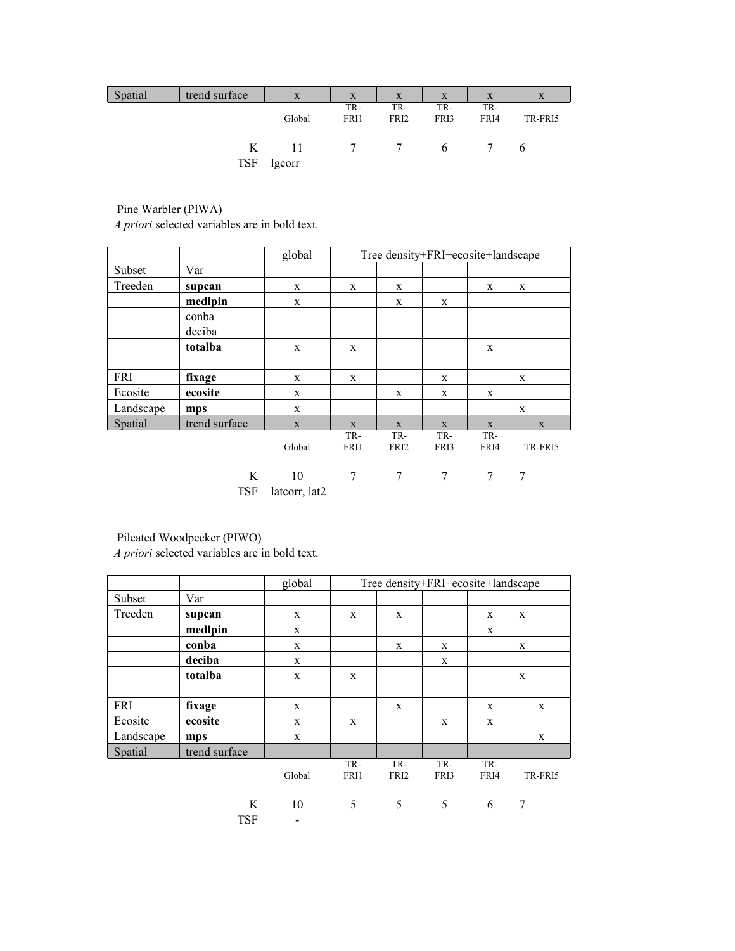| Spatial | trend surface | X      | X              | X                | X        | X    | X       |
|---------|---------------|--------|----------------|------------------|----------|------|---------|
|         |               |        | TR-            | TR-              | TR-      | TR-  |         |
|         |               | Global | FRI1           | FRI <sub>2</sub> | FRI3     | FRI4 | TR-FRI5 |
|         |               |        |                |                  |          |      |         |
|         | K             | -11    | $\overline{7}$ | $7\phantom{0}$   | $\sigma$ |      | 6       |
|         | TSF           | lgcorr |                |                  |          |      |         |

 Pine Warbler (PIWA) *A priori* selected variables are in bold text.

|            |                 | global              |             | Tree density+FRI+ecosite+landscape |             |             |             |
|------------|-----------------|---------------------|-------------|------------------------------------|-------------|-------------|-------------|
| Subset     | Var             |                     |             |                                    |             |             |             |
| Treeden    | supcan          | X                   | X           | X                                  |             | X           | X           |
|            | medlpin         | X                   |             | X                                  | X           |             |             |
|            | conba           |                     |             |                                    |             |             |             |
|            | deciba          |                     |             |                                    |             |             |             |
|            | totalba         | X                   | X           |                                    |             | X           |             |
|            |                 |                     |             |                                    |             |             |             |
| <b>FRI</b> | fixage          | X                   | X           |                                    | X           |             | X           |
| Ecosite    | ecosite         | X                   |             | X                                  | X           | X           |             |
| Landscape  | mps             | X                   |             |                                    |             |             | X           |
| Spatial    | trend surface   | X                   | X           | X                                  | X           | $\mathbf X$ | $\mathbf X$ |
|            |                 | Global              | TR-<br>FRI1 | TR-<br>FRI <sub>2</sub>            | TR-<br>FRI3 | TR-<br>FRI4 | TR-FRI5     |
|            | K<br><b>TSF</b> | 10<br>latcorr, lat2 | 7           | 7                                  | 7           | 7           | 7           |

Pileated Woodpecker (PIWO)

|            |                 | global                         |             |                         | Tree density+FRI+ecosite+landscape |             |             |
|------------|-----------------|--------------------------------|-------------|-------------------------|------------------------------------|-------------|-------------|
| Subset     | Var             |                                |             |                         |                                    |             |             |
| Treeden    | supcan          | X                              | X           | X                       |                                    | X           | X           |
|            | medlpin         | X                              |             |                         |                                    | X           |             |
|            | conba           | X                              |             | X                       | X                                  |             | X           |
|            | deciba          | X                              |             |                         | X                                  |             |             |
|            | totalba         | X                              | X           |                         |                                    |             | X           |
|            |                 |                                |             |                         |                                    |             |             |
| <b>FRI</b> | fixage          | X                              |             | X                       |                                    | X           | X           |
| Ecosite    | ecosite         | X                              | X           |                         | X                                  | X           |             |
| Landscape  | mps             | $\mathbf X$                    |             |                         |                                    |             | $\mathbf X$ |
| Spatial    | trend surface   |                                |             |                         |                                    |             |             |
|            |                 | Global                         | TR-<br>FRI1 | TR-<br>FRI <sub>2</sub> | TR-<br>FRI3                        | TR-<br>FRI4 | TR-FRI5     |
|            | K<br><b>TSF</b> | 10<br>$\overline{\phantom{a}}$ | 5           | 5                       | 5                                  | 6           | 7           |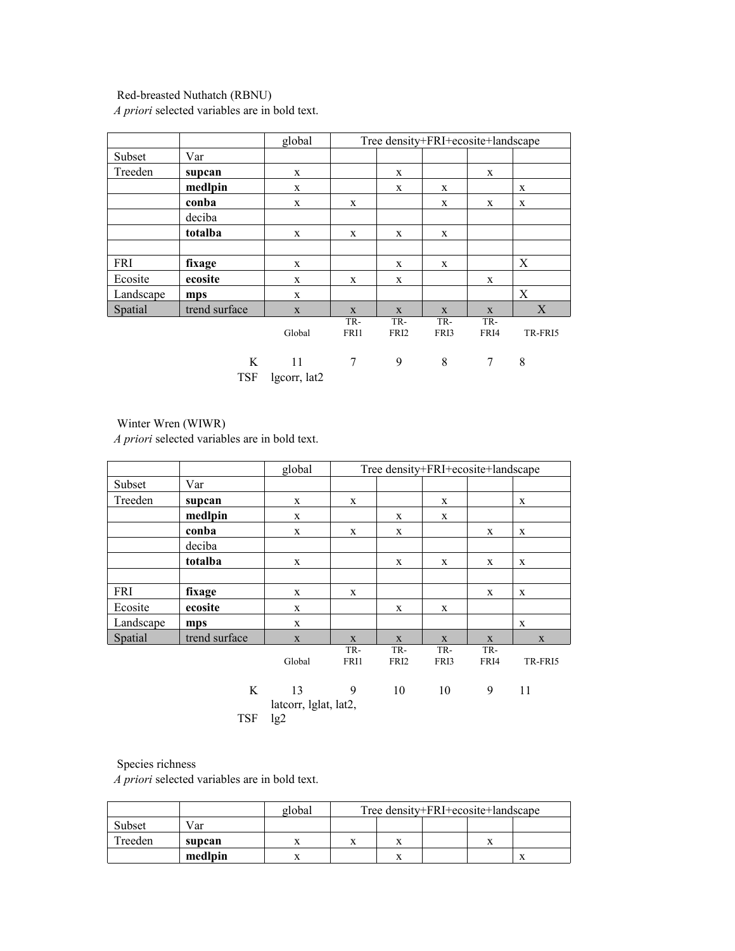# Red-breasted Nuthatch (RBNU)

*A priori* selected variables are in bold text.

|           |                 | global             |             | Tree density+FRI+ecosite+landscape |             |             |         |  |  |  |  |  |
|-----------|-----------------|--------------------|-------------|------------------------------------|-------------|-------------|---------|--|--|--|--|--|
| Subset    | Var             |                    |             |                                    |             |             |         |  |  |  |  |  |
| Treeden   | supcan          | X                  |             | X                                  |             | X           |         |  |  |  |  |  |
|           | medlpin         | X                  |             | X                                  | X           |             | X       |  |  |  |  |  |
|           | conba           | X                  | X           |                                    | X           | X           | X       |  |  |  |  |  |
|           | deciba          |                    |             |                                    |             |             |         |  |  |  |  |  |
|           | totalba         | X                  | X           | X                                  | X           |             |         |  |  |  |  |  |
|           |                 |                    |             |                                    |             |             |         |  |  |  |  |  |
| FRI       | fixage          | X                  |             | X                                  | X           |             | X       |  |  |  |  |  |
| Ecosite   | ecosite         | X                  | X           | X                                  |             | X           |         |  |  |  |  |  |
| Landscape | mps             | X                  |             |                                    |             |             | X       |  |  |  |  |  |
| Spatial   | trend surface   | X                  | X           | X                                  | X           | X           | X       |  |  |  |  |  |
|           |                 | Global             | TR-<br>FRI1 | TR-<br>FRI <sub>2</sub>            | TR-<br>FRI3 | TR-<br>FRI4 | TR-FRI5 |  |  |  |  |  |
|           | K<br><b>TSF</b> | 11<br>lgcorr, lat2 | 7           | 9                                  | 8           | 7           | 8       |  |  |  |  |  |

Winter Wren (WIWR)

*A priori* selected variables are in bold text.

|           |               | global                      |             | Tree density+FRI+ecosite+landscape |             |             |             |  |  |
|-----------|---------------|-----------------------------|-------------|------------------------------------|-------------|-------------|-------------|--|--|
| Subset    | Var           |                             |             |                                    |             |             |             |  |  |
| Treeden   | supcan        | X                           | X           |                                    | X           |             | X           |  |  |
|           | medlpin       | X                           |             | X                                  | X           |             |             |  |  |
|           | conba         | $\mathbf X$                 | X           | X                                  |             | X           | X           |  |  |
|           | deciba        |                             |             |                                    |             |             |             |  |  |
|           | totalba       | X                           |             | X                                  | X           | X           | X           |  |  |
|           |               |                             |             |                                    |             |             |             |  |  |
| FRI       | fixage        | X                           | X           |                                    |             | X           | X           |  |  |
| Ecosite   | ecosite       | X                           |             | X                                  | X           |             |             |  |  |
| Landscape | mps           | X                           |             |                                    |             |             | X           |  |  |
| Spatial   | trend surface | $\mathbf X$                 | X           | X                                  | X           | X           | $\mathbf X$ |  |  |
|           |               | Global                      | TR-<br>FRI1 | TR-<br>FRI <sub>2</sub>            | TR-<br>FRI3 | TR-<br>FRI4 | TR-FRI5     |  |  |
|           | K             | 13<br>latcorr, lglat, lat2, | 9           | 10                                 | 10          | 9           | 11          |  |  |
|           | <b>TSF</b>    | lg2                         |             |                                    |             |             |             |  |  |

# Species richness

|         |         | global | Tree density+FRI+ecosite+landscape |  |  |  |  |  |  |  |
|---------|---------|--------|------------------------------------|--|--|--|--|--|--|--|
| Subset  | Var     |        |                                    |  |  |  |  |  |  |  |
| Treeden | supcan  |        |                                    |  |  |  |  |  |  |  |
|         | medlpin |        |                                    |  |  |  |  |  |  |  |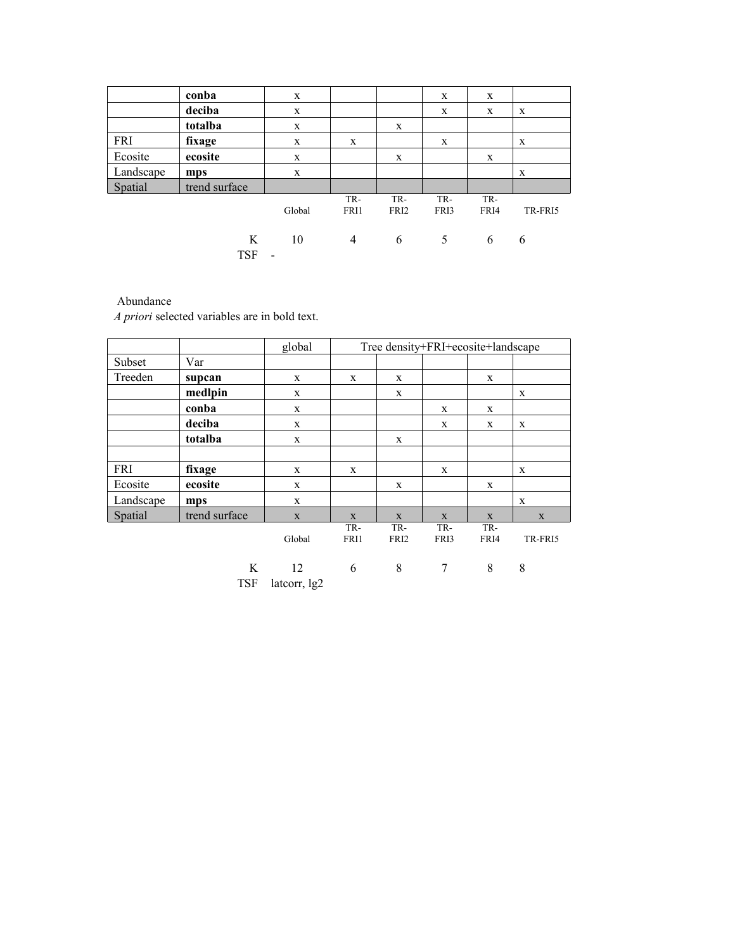|            | conba           | X                              |                |                         | X           | X           |         |
|------------|-----------------|--------------------------------|----------------|-------------------------|-------------|-------------|---------|
|            | deciba          | $\mathbf{x}$                   |                |                         | X           | X           | X       |
|            | totalba         | X                              |                | X                       |             |             |         |
| <b>FRI</b> | fixage          | X                              | X              |                         | X           |             | X       |
| Ecosite    | ecosite         | X                              |                | X                       |             | X           |         |
| Landscape  | mps             | X                              |                |                         |             |             | X       |
| Spatial    | trend surface   |                                |                |                         |             |             |         |
|            |                 | Global                         | TR-<br>FRI1    | TR-<br>FRI <sub>2</sub> | TR-<br>FRI3 | TR-<br>FRI4 | TR-FRI5 |
|            | K<br><b>TSF</b> | 10<br>$\overline{\phantom{a}}$ | $\overline{4}$ | 6                       | 5           | 6           | 6       |

# Abundance

|            |                 | global             | Tree density+FRI+ecosite+landscape |                         |             |             |             |  |  |  |  |
|------------|-----------------|--------------------|------------------------------------|-------------------------|-------------|-------------|-------------|--|--|--|--|
| Subset     | Var             |                    |                                    |                         |             |             |             |  |  |  |  |
| Treeden    | supcan          | X                  | X                                  | X                       |             | X           |             |  |  |  |  |
|            | medlpin         | X                  |                                    | X                       |             |             | X           |  |  |  |  |
|            | conba           | X                  |                                    |                         | X           | X           |             |  |  |  |  |
|            | deciba          | $\mathbf X$        |                                    |                         | X           | X           | X           |  |  |  |  |
|            | totalba         | X                  |                                    | X                       |             |             |             |  |  |  |  |
|            |                 |                    |                                    |                         |             |             |             |  |  |  |  |
| <b>FRI</b> | fixage          | X                  | X                                  |                         | X           |             | X           |  |  |  |  |
| Ecosite    | ecosite         | X                  |                                    | X                       |             | X           |             |  |  |  |  |
| Landscape  | mps             | X                  |                                    |                         |             |             | $\mathbf x$ |  |  |  |  |
| Spatial    | trend surface   | X                  | X                                  | X                       | X           | X           | X           |  |  |  |  |
|            |                 | Global             | TR-<br>FRI1                        | TR-<br>FRI <sub>2</sub> | TR-<br>FRI3 | TR-<br>FRI4 | TR-FRI5     |  |  |  |  |
|            | K<br><b>TSF</b> | 12<br>lateorr, 1g2 | 6                                  | 8                       | 7           | 8           | 8           |  |  |  |  |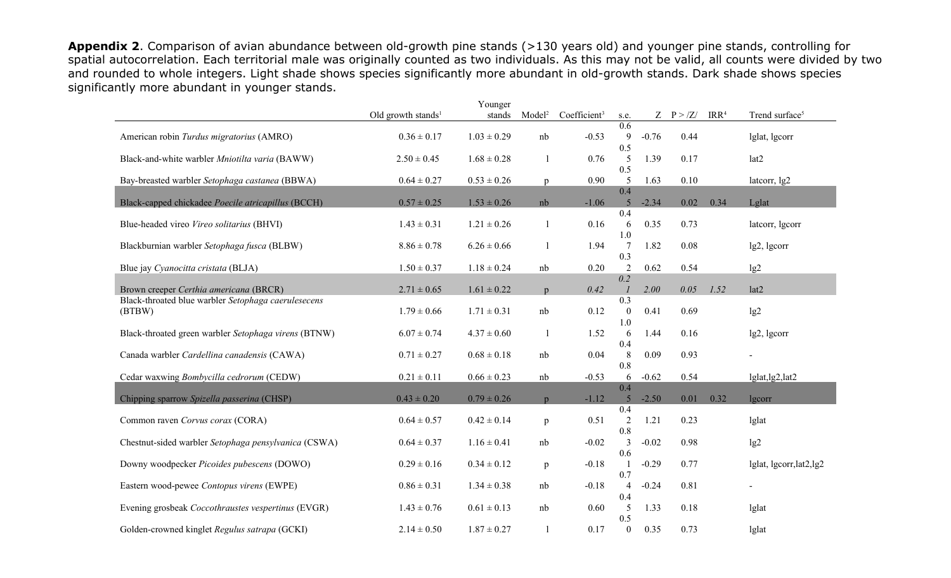**Appendix 2**. Comparison of avian abundance between old-growth pine stands (>130 years old) and younger pine stands, controlling for spatial autocorrelation. Each territorial male was originally counted as two individuals. As this may not be valid, all counts were divided by two and rounded to whole integers. Light shade shows species significantly more abundant in old-growth stands. Dark shade shows species significantly more abundant in younger stands.

|                                                               |                                | Younger         |                          |                          |                                  |         |               |                  |                            |
|---------------------------------------------------------------|--------------------------------|-----------------|--------------------------|--------------------------|----------------------------------|---------|---------------|------------------|----------------------------|
|                                                               | Old growth stands <sup>1</sup> | stands          | Model <sup>2</sup>       | Coefficient <sup>3</sup> | s.e.                             |         | $Z$ $P > /Z/$ | IRR <sup>4</sup> | Trend surface <sup>5</sup> |
| American robin Turdus migratorius (AMRO)                      | $0.36 \pm 0.17$                | $1.03 \pm 0.29$ | nb                       | $-0.53$                  | 0.6<br>9<br>0.5                  | $-0.76$ | 0.44          |                  | lglat, lgcorr              |
| Black-and-white warbler Mniotilta varia (BAWW)                | $2.50 \pm 0.45$                | $1.68 \pm 0.28$ |                          | 0.76                     | 5<br>0.5                         | 1.39    | 0.17          |                  | lat2                       |
| Bay-breasted warbler Setophaga castanea (BBWA)                | $0.64 \pm 0.27$                | $0.53 \pm 0.26$ | p                        | 0.90                     | 5<br>0.4                         | 1.63    | 0.10          |                  | latcorr, lg2               |
| Black-capped chickadee Poecile atricapillus (BCCH)            | $0.57 \pm 0.25$                | $1.53 \pm 0.26$ | nb                       | $-1.06$                  | 5                                | $-2.34$ | 0.02          | 0.34             | Lglat                      |
| Blue-headed vireo Vireo solitarius (BHVI)                     | $1.43 \pm 0.31$                | $1.21 \pm 0.26$ |                          | 0.16                     | 0.4<br>6<br>1.0                  | 0.35    | 0.73          |                  | lateorr, lgcorr            |
| Blackburnian warbler Setophaga fusca (BLBW)                   | $8.86 \pm 0.78$                | $6.26 \pm 0.66$ |                          | 1.94                     | 7<br>0.3                         | 1.82    | $0.08\,$      |                  | lg2, lgcorr                |
| Blue jay Cyanocitta cristata (BLJA)                           | $1.50 \pm 0.37$                | $1.18 \pm 0.24$ | nb                       | 0.20                     | 2<br>0.2                         | 0.62    | 0.54          |                  | lg2                        |
| Brown creeper Certhia americana (BRCR)                        | $2.71 \pm 0.65$                | $1.61 \pm 0.22$ | p                        | 0.42                     |                                  | 2.00    | 0.05          | 1.52             | lat2                       |
| Black-throated blue warbler Setophaga caerulesecens<br>(BTBW) | $1.79 \pm 0.66$                | $1.71 \pm 0.31$ | nb                       | 0.12                     | 0.3<br>$\boldsymbol{0}$<br>1.0   | 0.41    | 0.69          |                  | lg2                        |
| Black-throated green warbler Setophaga virens (BTNW)          | $6.07 \pm 0.74$                | $4.37 \pm 0.60$ | -1                       | 1.52                     | 6<br>0.4                         | 1.44    | 0.16          |                  | lg2, lgcorr                |
| Canada warbler Cardellina canadensis (CAWA)                   | $0.71 \pm 0.27$                | $0.68 \pm 0.18$ | nb                       | 0.04                     | $\,8\,$<br>0.8                   | 0.09    | 0.93          |                  |                            |
| Cedar waxwing Bombycilla cedrorum (CEDW)                      | $0.21 \pm 0.11$                | $0.66 \pm 0.23$ | nb                       | $-0.53$                  | 6<br>0.4                         | $-0.62$ | 0.54          |                  | lglat, lg2, lat2           |
| Chipping sparrow Spizella passerina (CHSP)                    | $0.43 \pm 0.20$                | $0.79 \pm 0.26$ | $\mathbf{D}$             | $-1.12$                  | 5                                | $-2.50$ | 0.01          | 0.32             | lgcorr                     |
| Common raven Corvus corax (CORA)                              | $0.64 \pm 0.57$                | $0.42 \pm 0.14$ | p                        | 0.51                     | 0.4<br>$\overline{2}$<br>$0.8\,$ | 1.21    | 0.23          |                  | lglat                      |
| Chestnut-sided warbler Setophaga pensylvanica (CSWA)          | $0.64 \pm 0.37$                | $1.16 \pm 0.41$ | nb                       | $-0.02$                  | 3                                | $-0.02$ | 0.98          |                  | lg2                        |
| Downy woodpecker Picoides pubescens (DOWO)                    | $0.29 \pm 0.16$                | $0.34 \pm 0.12$ | p                        | $-0.18$                  | 0.6<br>0.7                       | $-0.29$ | 0.77          |                  | lglat, lgcorr, lat2, lg2   |
| Eastern wood-pewee Contopus virens (EWPE)                     | $0.86 \pm 0.31$                | $1.34 \pm 0.38$ | nb                       | $-0.18$                  | $\overline{4}$<br>0.4            | $-0.24$ | 0.81          |                  |                            |
| Evening grosbeak Coccothraustes vespertinus (EVGR)            | $1.43 \pm 0.76$                | $0.61 \pm 0.13$ | nb                       | 0.60                     | 5<br>0.5                         | 1.33    | 0.18          |                  | lglat                      |
| Golden-crowned kinglet Regulus satrapa (GCKI)                 | $2.14 \pm 0.50$                | $1.87 \pm 0.27$ | $\overline{\phantom{a}}$ | 0.17                     | $\boldsymbol{0}$                 | 0.35    | 0.73          |                  | lglat                      |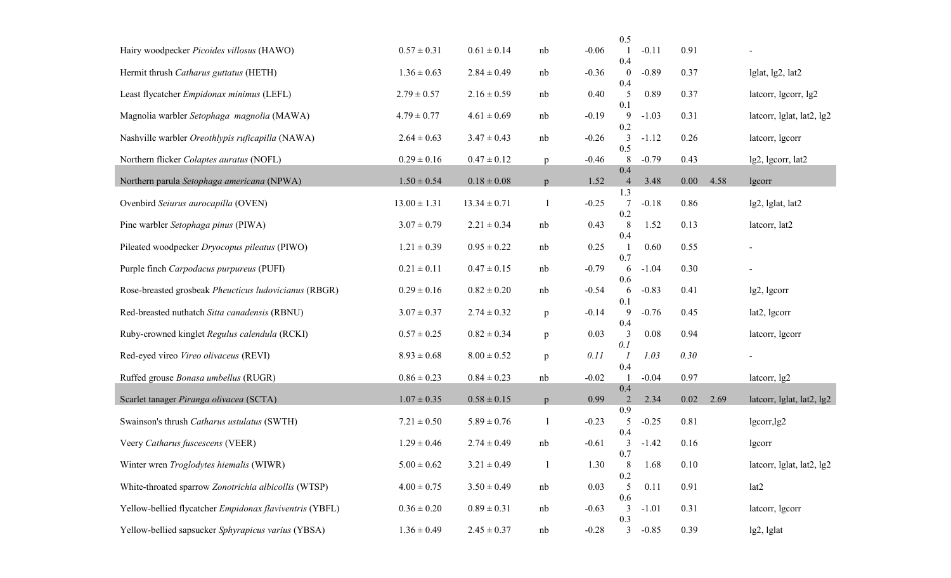|                                                         |                  |                  |              |         | 0.5                   |         |      |      |                                           |
|---------------------------------------------------------|------------------|------------------|--------------|---------|-----------------------|---------|------|------|-------------------------------------------|
| Hairy woodpecker Picoides villosus (HAWO)               | $0.57 \pm 0.31$  | $0.61 \pm 0.14$  | nb           | $-0.06$ | 0.4                   | $-0.11$ | 0.91 |      |                                           |
| Hermit thrush Catharus guttatus (HETH)                  | $1.36 \pm 0.63$  | $2.84 \pm 0.49$  | nb           | $-0.36$ | $\theta$              | $-0.89$ | 0.37 |      | lglat, lg2, lat2                          |
| Least flycatcher Empidonax minimus (LEFL)               | $2.79 \pm 0.57$  | $2.16 \pm 0.59$  | nb           | 0.40    | 0.4<br>5              | 0.89    | 0.37 |      | lateorr, lgcorr, lg2                      |
| Magnolia warbler Setophaga magnolia (MAWA)              | $4.79 \pm 0.77$  | $4.61 \pm 0.69$  | nb           | $-0.19$ | 0.1<br>9              | $-1.03$ | 0.31 |      | lateorr, lglat, lat2, lg2                 |
| Nashville warbler Oreothlypis ruficapilla (NAWA)        | $2.64 \pm 0.63$  | $3.47 \pm 0.43$  | nb           | $-0.26$ | 0.2<br>3              | $-1.12$ | 0.26 |      | lateorr, lgcorr                           |
| Northern flicker Colaptes auratus (NOFL)                | $0.29 \pm 0.16$  | $0.47 \pm 0.12$  | $\mathbf{p}$ | $-0.46$ | 0.5<br>$8\phantom{.}$ | $-0.79$ | 0.43 |      | lg2, lgcorr, lat2                         |
| Northern parula Setophaga americana (NPWA)              | $1.50 \pm 0.54$  | $0.18 \pm 0.08$  | p            | 1.52    | 0.4<br>$\overline{4}$ | 3.48    | 0.00 | 4.58 | lgcorr                                    |
| Ovenbird Seiurus aurocapilla (OVEN)                     | $13.00 \pm 1.31$ | $13.34 \pm 0.71$ |              | $-0.25$ | 1.3<br>7              | $-0.18$ | 0.86 |      | lg2, lglat, lat2                          |
| Pine warbler Setophaga pinus (PIWA)                     | $3.07 \pm 0.79$  | $2.21 \pm 0.34$  | nb           | 0.43    | 0.2<br>8              | 1.52    | 0.13 |      | latcorr, lat2                             |
| Pileated woodpecker Dryocopus pileatus (PIWO)           | $1.21 \pm 0.39$  | $0.95 \pm 0.22$  | nb           | 0.25    | 0.4<br>0.7            | 0.60    | 0.55 |      |                                           |
| Purple finch Carpodacus purpureus (PUFI)                | $0.21 \pm 0.11$  | $0.47 \pm 0.15$  | nb           | $-0.79$ | 6                     | $-1.04$ | 0.30 |      |                                           |
| Rose-breasted grosbeak Pheucticus ludovicianus (RBGR)   | $0.29 \pm 0.16$  | $0.82 \pm 0.20$  | nb           | $-0.54$ | 0.6<br>6<br>0.1       | $-0.83$ | 0.41 |      | lg2, lgcorr                               |
| Red-breasted nuthatch Sitta canadensis (RBNU)           | $3.07 \pm 0.37$  | $2.74 \pm 0.32$  | $\, {\rm p}$ | $-0.14$ | 9<br>0.4              | $-0.76$ | 0.45 |      | lat2, lgcorr                              |
| Ruby-crowned kinglet Regulus calendula (RCKI)           | $0.57 \pm 0.25$  | $0.82 \pm 0.34$  | $\, {\rm p}$ | 0.03    | $\mathfrak{Z}$<br>0.1 | 0.08    | 0.94 |      | lateorr, lgcorr                           |
| Red-eyed vireo Vireo olivaceus (REVI)                   | $8.93 \pm 0.68$  | $8.00 \pm 0.52$  | p            | 0.11    |                       | 1.03    | 0.30 |      |                                           |
| Ruffed grouse Bonasa umbellus (RUGR)                    | $0.86 \pm 0.23$  | $0.84 \pm 0.23$  | nb           | $-0.02$ | 0.4                   | $-0.04$ | 0.97 |      | lateorr, 1g2                              |
| Scarlet tanager Piranga olivacea (SCTA)                 | $1.07 \pm 0.35$  | $0.58 \pm 0.15$  | p            | 0.99    | 0.4<br>2              | 2.34    | 0.02 | 2.69 | lateorr, $l$ glat, $l$ at $2$ , $l$ g $2$ |
| Swainson's thrush Catharus ustulatus (SWTH)             | $7.21 \pm 0.50$  | $5.89 \pm 0.76$  | $\mathbf{l}$ | $-0.23$ | 0.9<br>5              | $-0.25$ | 0.81 |      | lgcorr,lg2                                |
| Veery Catharus fuscescens (VEER)                        | $1.29 \pm 0.46$  | $2.74 \pm 0.49$  | nb           | $-0.61$ | 0.4<br>3              | $-1.42$ | 0.16 |      | lgcorr                                    |
| Winter wren Troglodytes hiemalis (WIWR)                 | $5.00 \pm 0.62$  | $3.21 \pm 0.49$  | -1           | 1.30    | 0.7<br>8              | 1.68    | 0.10 |      | lateorr, lglat, lat2, lg2                 |
| White-throated sparrow Zonotrichia albicollis (WTSP)    | $4.00 \pm 0.75$  | $3.50 \pm 0.49$  | nb           | 0.03    | 0.2<br>5              | 0.11    | 0.91 |      | lat2                                      |
| Yellow-bellied flycatcher Empidonax flaviventris (YBFL) | $0.36 \pm 0.20$  | $0.89 \pm 0.31$  | nb           | $-0.63$ | 0.6<br>3              | $-1.01$ | 0.31 |      | lateorr, lgcorr                           |
| Yellow-bellied sapsucker Sphyrapicus varius (YBSA)      | $1.36 \pm 0.49$  | $2.45 \pm 0.37$  | nb           | $-0.28$ | 0.3<br>$\mathfrak{Z}$ | $-0.85$ | 0.39 |      | lg2, lglat                                |